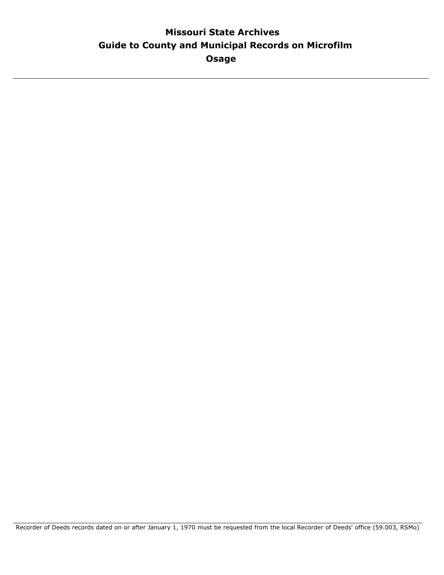## **Guide to County and Municipal Records on Microfilm Missouri State Archives Osage**

Recorder of Deeds records dated on or after January 1, 1970 must be requested from the local Recorder of Deeds' office (59.003, RSMo)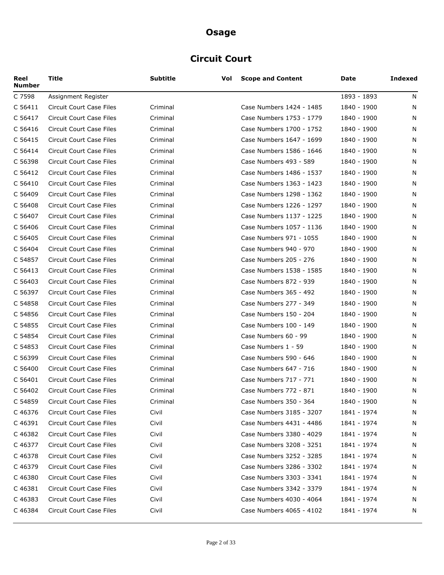# **Circuit Court**

| Reel<br><b>Number</b> | Title                           | <b>Subtitle</b> | Vol | <b>Scope and Content</b> | Date        | Indexed |
|-----------------------|---------------------------------|-----------------|-----|--------------------------|-------------|---------|
| C 7598                | Assignment Register             |                 |     |                          | 1893 - 1893 | N       |
| C 56411               | Circuit Court Case Files        | Criminal        |     | Case Numbers 1424 - 1485 | 1840 - 1900 | N       |
| C 56417               | Circuit Court Case Files        | Criminal        |     | Case Numbers 1753 - 1779 | 1840 - 1900 | N       |
| C 56416               | Circuit Court Case Files        | Criminal        |     | Case Numbers 1700 - 1752 | 1840 - 1900 | N       |
| C 56415               | Circuit Court Case Files        | Criminal        |     | Case Numbers 1647 - 1699 | 1840 - 1900 | N       |
| C 56414               | Circuit Court Case Files        | Criminal        |     | Case Numbers 1586 - 1646 | 1840 - 1900 | N       |
| C 56398               | Circuit Court Case Files        | Criminal        |     | Case Numbers 493 - 589   | 1840 - 1900 | N       |
| C 56412               | <b>Circuit Court Case Files</b> | Criminal        |     | Case Numbers 1486 - 1537 | 1840 - 1900 | N       |
| C 56410               | Circuit Court Case Files        | Criminal        |     | Case Numbers 1363 - 1423 | 1840 - 1900 | N       |
| C 56409               | Circuit Court Case Files        | Criminal        |     | Case Numbers 1298 - 1362 | 1840 - 1900 | N       |
| C 56408               | Circuit Court Case Files        | Criminal        |     | Case Numbers 1226 - 1297 | 1840 - 1900 | N       |
| C 56407               | Circuit Court Case Files        | Criminal        |     | Case Numbers 1137 - 1225 | 1840 - 1900 | N       |
| C 56406               | Circuit Court Case Files        | Criminal        |     | Case Numbers 1057 - 1136 | 1840 - 1900 | N       |
| C 56405               | Circuit Court Case Files        | Criminal        |     | Case Numbers 971 - 1055  | 1840 - 1900 | N       |
| C 56404               | Circuit Court Case Files        | Criminal        |     | Case Numbers 940 - 970   | 1840 - 1900 | N       |
| C 54857               | Circuit Court Case Files        | Criminal        |     | Case Numbers 205 - 276   | 1840 - 1900 | N       |
| C 56413               | Circuit Court Case Files        | Criminal        |     | Case Numbers 1538 - 1585 | 1840 - 1900 | N       |
| C 56403               | Circuit Court Case Files        | Criminal        |     | Case Numbers 872 - 939   | 1840 - 1900 | N       |
| C 56397               | Circuit Court Case Files        | Criminal        |     | Case Numbers 365 - 492   | 1840 - 1900 | N       |
| C 54858               | Circuit Court Case Files        | Criminal        |     | Case Numbers 277 - 349   | 1840 - 1900 | N       |
| C 54856               | Circuit Court Case Files        | Criminal        |     | Case Numbers 150 - 204   | 1840 - 1900 | N       |
| C 54855               | Circuit Court Case Files        | Criminal        |     | Case Numbers 100 - 149   | 1840 - 1900 | N       |
| C 54854               | Circuit Court Case Files        | Criminal        |     | Case Numbers 60 - 99     | 1840 - 1900 | N       |
| C 54853               | Circuit Court Case Files        | Criminal        |     | Case Numbers 1 - 59      | 1840 - 1900 | N       |
| C 56399               | <b>Circuit Court Case Files</b> | Criminal        |     | Case Numbers 590 - 646   | 1840 - 1900 | N       |
| C 56400               | Circuit Court Case Files        | Criminal        |     | Case Numbers 647 - 716   | 1840 - 1900 | N       |
| C 56401               | <b>Circuit Court Case Files</b> | Criminal        |     | Case Numbers 717 - 771   | 1840 - 1900 | N       |
| C 56402               | Circuit Court Case Files        | Criminal        |     | Case Numbers 772 - 871   | 1840 - 1900 | N       |
| C 54859               | Circuit Court Case Files        | Criminal        |     | Case Numbers 350 - 364   | 1840 - 1900 | N       |
| C 46376               | Circuit Court Case Files        | Civil           |     | Case Numbers 3185 - 3207 | 1841 - 1974 | N       |
| C 46391               | <b>Circuit Court Case Files</b> | Civil           |     | Case Numbers 4431 - 4486 | 1841 - 1974 | N       |
| C 46382               | Circuit Court Case Files        | Civil           |     | Case Numbers 3380 - 4029 | 1841 - 1974 | N       |
| C 46377               | <b>Circuit Court Case Files</b> | Civil           |     | Case Numbers 3208 - 3251 | 1841 - 1974 | N       |
| C 46378               | Circuit Court Case Files        | Civil           |     | Case Numbers 3252 - 3285 | 1841 - 1974 | N       |
| C 46379               | Circuit Court Case Files        | Civil           |     | Case Numbers 3286 - 3302 | 1841 - 1974 | N       |
| C 46380               | Circuit Court Case Files        | Civil           |     | Case Numbers 3303 - 3341 | 1841 - 1974 | N       |
| C 46381               | Circuit Court Case Files        | Civil           |     | Case Numbers 3342 - 3379 | 1841 - 1974 | N       |
| C 46383               | Circuit Court Case Files        | Civil           |     | Case Numbers 4030 - 4064 | 1841 - 1974 | N       |
| C 46384               | Circuit Court Case Files        | Civil           |     | Case Numbers 4065 - 4102 | 1841 - 1974 | N       |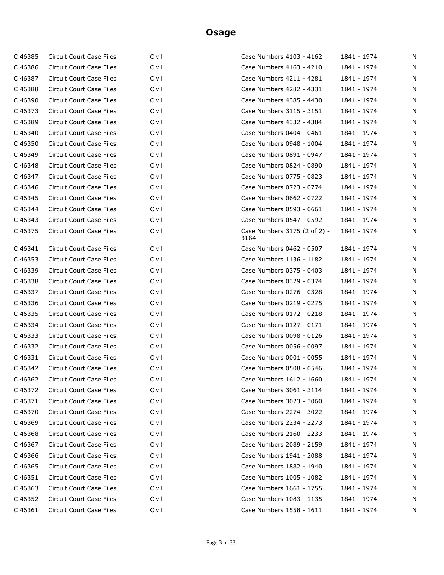| C46385  | Circuit Court Case Files        | Civil | Case Numbers 4103 - 4162             | 1841 - 1974 | N |
|---------|---------------------------------|-------|--------------------------------------|-------------|---|
| C46386  | Circuit Court Case Files        | Civil | Case Numbers 4163 - 4210             | 1841 - 1974 | N |
| C 46387 | Circuit Court Case Files        | Civil | Case Numbers 4211 - 4281             | 1841 - 1974 | N |
| C 46388 | Circuit Court Case Files        | Civil | Case Numbers 4282 - 4331             | 1841 - 1974 | N |
| C 46390 | Circuit Court Case Files        | Civil | Case Numbers 4385 - 4430             | 1841 - 1974 | N |
| C 46373 | Circuit Court Case Files        | Civil | Case Numbers 3115 - 3151             | 1841 - 1974 | N |
| C 46389 | Circuit Court Case Files        | Civil | Case Numbers 4332 - 4384             | 1841 - 1974 | N |
| C 46340 | Circuit Court Case Files        | Civil | Case Numbers 0404 - 0461             | 1841 - 1974 | N |
| C46350  | Circuit Court Case Files        | Civil | Case Numbers 0948 - 1004             | 1841 - 1974 | N |
| C 46349 | Circuit Court Case Files        | Civil | Case Numbers 0891 - 0947             | 1841 - 1974 | N |
| C 46348 | Circuit Court Case Files        | Civil | Case Numbers 0824 - 0890             | 1841 - 1974 | N |
| C 46347 | Circuit Court Case Files        | Civil | Case Numbers 0775 - 0823             | 1841 - 1974 | N |
| C 46346 | Circuit Court Case Files        | Civil | Case Numbers 0723 - 0774             | 1841 - 1974 | N |
| C 46345 | Circuit Court Case Files        | Civil | Case Numbers 0662 - 0722             | 1841 - 1974 | N |
| C 46344 | Circuit Court Case Files        | Civil | Case Numbers 0593 - 0661             | 1841 - 1974 | N |
| C 46343 | Circuit Court Case Files        | Civil | Case Numbers 0547 - 0592             | 1841 - 1974 | N |
| C 46375 | Circuit Court Case Files        | Civil | Case Numbers 3175 (2 of 2) -<br>3184 | 1841 - 1974 | N |
| C 46341 | Circuit Court Case Files        | Civil | Case Numbers 0462 - 0507             | 1841 - 1974 | N |
| C46353  | Circuit Court Case Files        | Civil | Case Numbers 1136 - 1182             | 1841 - 1974 | N |
| C 46339 | Circuit Court Case Files        | Civil | Case Numbers 0375 - 0403             | 1841 - 1974 | N |
| C 46338 | Circuit Court Case Files        | Civil | Case Numbers 0329 - 0374             | 1841 - 1974 | N |
| C 46337 | Circuit Court Case Files        | Civil | Case Numbers 0276 - 0328             | 1841 - 1974 | N |
| C 46336 | Circuit Court Case Files        | Civil | Case Numbers 0219 - 0275             | 1841 - 1974 | N |
| C 46335 | Circuit Court Case Files        | Civil | Case Numbers 0172 - 0218             | 1841 - 1974 | N |
| C 46334 | Circuit Court Case Files        | Civil | Case Numbers 0127 - 0171             | 1841 - 1974 | N |
| C 46333 | Circuit Court Case Files        | Civil | Case Numbers 0098 - 0126             | 1841 - 1974 | N |
| C 46332 | Circuit Court Case Files        | Civil | Case Numbers 0056 - 0097             | 1841 - 1974 | N |
| C 46331 | Circuit Court Case Files        | Civil | Case Numbers 0001 - 0055             | 1841 - 1974 | N |
| C 46342 | Circuit Court Case Files        | Civil | Case Numbers 0508 - 0546             | 1841 - 1974 | N |
| C 46362 | Circuit Court Case Files        | Civil | Case Numbers 1612 - 1660             | 1841 - 1974 | N |
| C 46372 | Circuit Court Case Files        | Civil | Case Numbers 3061 - 3114             | 1841 - 1974 | N |
| C 46371 | Circuit Court Case Files        | Civil | Case Numbers 3023 - 3060             | 1841 - 1974 | N |
| C 46370 | Circuit Court Case Files        | Civil | Case Numbers 2274 - 3022             | 1841 - 1974 | N |
| C 46369 | Circuit Court Case Files        | Civil | Case Numbers 2234 - 2273             | 1841 - 1974 | N |
| C 46368 | <b>Circuit Court Case Files</b> | Civil | Case Numbers 2160 - 2233             | 1841 - 1974 | N |
| C 46367 | Circuit Court Case Files        | Civil | Case Numbers 2089 - 2159             | 1841 - 1974 | N |
| C 46366 | Circuit Court Case Files        | Civil | Case Numbers 1941 - 2088             | 1841 - 1974 | N |
| C 46365 | <b>Circuit Court Case Files</b> | Civil | Case Numbers 1882 - 1940             | 1841 - 1974 | N |
| C 46351 | Circuit Court Case Files        | Civil | Case Numbers 1005 - 1082             | 1841 - 1974 | N |
| C 46363 | Circuit Court Case Files        | Civil | Case Numbers 1661 - 1755             | 1841 - 1974 | N |
| C 46352 | Circuit Court Case Files        | Civil | Case Numbers 1083 - 1135             | 1841 - 1974 | N |
| C 46361 | Circuit Court Case Files        | Civil | Case Numbers 1558 - 1611             | 1841 - 1974 | N |
|         |                                 |       |                                      |             |   |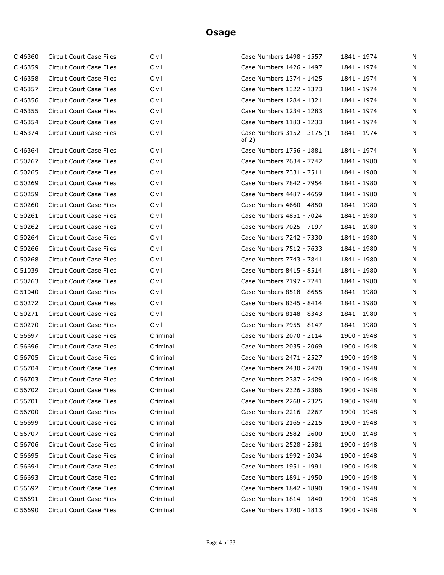| C 46360 | Circuit Court Case Files         | Civil    | Case Numbers 1498 - 1557               | 1841 - 1974 | N |
|---------|----------------------------------|----------|----------------------------------------|-------------|---|
| C46359  | Circuit Court Case Files         | Civil    | Case Numbers 1426 - 1497               | 1841 - 1974 | N |
| C 46358 | Circuit Court Case Files         | Civil    | Case Numbers 1374 - 1425               | 1841 - 1974 | N |
| C 46357 | Circuit Court Case Files         | Civil    | Case Numbers 1322 - 1373               | 1841 - 1974 | N |
| C 46356 | Circuit Court Case Files         | Civil    | Case Numbers 1284 - 1321               | 1841 - 1974 | N |
| C 46355 | Circuit Court Case Files         | Civil    | Case Numbers 1234 - 1283               | 1841 - 1974 | N |
| C 46354 | Circuit Court Case Files         | Civil    | Case Numbers 1183 - 1233               | 1841 - 1974 | N |
| C 46374 | Circuit Court Case Files         | Civil    | Case Numbers 3152 - 3175 (1<br>of $2)$ | 1841 - 1974 | N |
| C 46364 | Circuit Court Case Files         | Civil    | Case Numbers 1756 - 1881               | 1841 - 1974 | N |
| C 50267 | Circuit Court Case Files         | Civil    | Case Numbers 7634 - 7742               | 1841 - 1980 | N |
| C 50265 | Circuit Court Case Files         | Civil    | Case Numbers 7331 - 7511               | 1841 - 1980 | N |
| C 50269 | Circuit Court Case Files         | Civil    | Case Numbers 7842 - 7954               | 1841 - 1980 | N |
| C 50259 | Circuit Court Case Files         | Civil    | Case Numbers 4487 - 4659               | 1841 - 1980 | N |
| C 50260 | Circuit Court Case Files         | Civil    | Case Numbers 4660 - 4850               | 1841 - 1980 | N |
| C 50261 | Circuit Court Case Files         | Civil    | Case Numbers 4851 - 7024               | 1841 - 1980 | N |
| C 50262 | Circuit Court Case Files         | Civil    | Case Numbers 7025 - 7197               | 1841 - 1980 | N |
| C 50264 | Circuit Court Case Files         | Civil    | Case Numbers 7242 - 7330               | 1841 - 1980 | N |
| C 50266 | Circuit Court Case Files         | Civil    | Case Numbers 7512 - 7633               | 1841 - 1980 | N |
| C 50268 | Circuit Court Case Files         | Civil    | Case Numbers 7743 - 7841               | 1841 - 1980 | N |
| C 51039 | Circuit Court Case Files         | Civil    | Case Numbers 8415 - 8514               | 1841 - 1980 | N |
| C 50263 | Circuit Court Case Files         | Civil    | Case Numbers 7197 - 7241               | 1841 - 1980 | N |
| C 51040 | Circuit Court Case Files         | Civil    | Case Numbers 8518 - 8655               | 1841 - 1980 | N |
| C 50272 | Circuit Court Case Files         | Civil    | Case Numbers 8345 - 8414               | 1841 - 1980 | N |
| C 50271 | Circuit Court Case Files         | Civil    | Case Numbers 8148 - 8343               | 1841 - 1980 | N |
| C 50270 | Circuit Court Case Files         | Civil    | Case Numbers 7955 - 8147               | 1841 - 1980 | N |
| C 56697 | Circuit Court Case Files         | Criminal | Case Numbers 2070 - 2114               | 1900 - 1948 | N |
| C 56696 | Circuit Court Case Files         | Criminal | Case Numbers 2035 - 2069               | 1900 - 1948 | N |
| C 56705 | Circuit Court Case Files         | Criminal | Case Numbers 2471 - 2527               | 1900 - 1948 | N |
| C 56704 | Circuit Court Case Files         | Criminal | Case Numbers 2430 - 2470               | 1900 - 1948 | N |
|         | C 56703 Circuit Court Case Files | Criminal | Case Numbers 2387 - 2429               | 1900 - 1948 | N |
| C 56702 | Circuit Court Case Files         | Criminal | Case Numbers 2326 - 2386               | 1900 - 1948 | N |
| C 56701 | Circuit Court Case Files         | Criminal | Case Numbers 2268 - 2325               | 1900 - 1948 | N |
| C 56700 | Circuit Court Case Files         | Criminal | Case Numbers 2216 - 2267               | 1900 - 1948 | N |
| C 56699 | Circuit Court Case Files         | Criminal | Case Numbers 2165 - 2215               | 1900 - 1948 | N |
| C 56707 | Circuit Court Case Files         | Criminal | Case Numbers 2582 - 2600               | 1900 - 1948 | N |
| C 56706 | Circuit Court Case Files         | Criminal | Case Numbers 2528 - 2581               | 1900 - 1948 | N |
| C 56695 | Circuit Court Case Files         | Criminal | Case Numbers 1992 - 2034               | 1900 - 1948 | N |
| C 56694 | <b>Circuit Court Case Files</b>  | Criminal | Case Numbers 1951 - 1991               | 1900 - 1948 | N |
| C 56693 | Circuit Court Case Files         | Criminal | Case Numbers 1891 - 1950               | 1900 - 1948 | N |
| C 56692 | Circuit Court Case Files         | Criminal | Case Numbers 1842 - 1890               | 1900 - 1948 | N |
| C 56691 | Circuit Court Case Files         | Criminal | Case Numbers 1814 - 1840               | 1900 - 1948 | N |
| C 56690 | Circuit Court Case Files         | Criminal | Case Numbers 1780 - 1813               | 1900 - 1948 | N |
|         |                                  |          |                                        |             |   |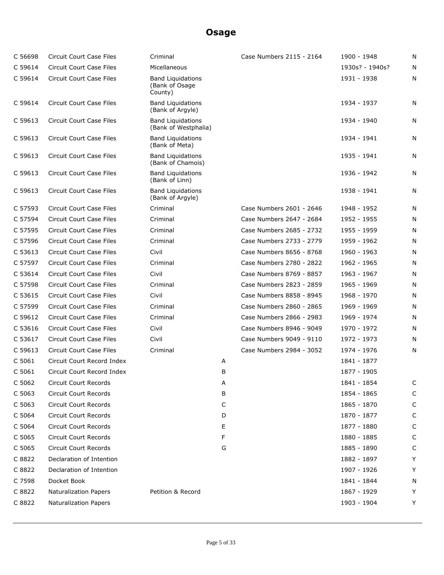| C 56698 | <b>Circuit Court Case Files</b> | Criminal                                              |   | Case Numbers 2115 - 2164 | 1900 - 1948     | N |
|---------|---------------------------------|-------------------------------------------------------|---|--------------------------|-----------------|---|
| C 59614 | <b>Circuit Court Case Files</b> | Micellaneous                                          |   |                          | 1930s? - 1940s? | N |
| C 59614 | <b>Circuit Court Case Files</b> | <b>Band Liquidations</b><br>(Bank of Osage<br>County) |   |                          | 1931 - 1938     | N |
| C 59614 | Circuit Court Case Files        | <b>Band Liquidations</b><br>(Bank of Argyle)          |   |                          | 1934 - 1937     | N |
| C 59613 | Circuit Court Case Files        | <b>Band Liguidations</b><br>(Bank of Westphalia)      |   |                          | 1934 - 1940     | N |
| C 59613 | Circuit Court Case Files        | <b>Band Liquidations</b><br>(Bank of Meta)            |   |                          | 1934 - 1941     | N |
| C 59613 | Circuit Court Case Files        | <b>Band Liguidations</b><br>(Bank of Chamois)         |   |                          | 1935 - 1941     | N |
| C 59613 | <b>Circuit Court Case Files</b> | <b>Band Liquidations</b><br>(Bank of Linn)            |   |                          | 1936 - 1942     | N |
| C 59613 | Circuit Court Case Files        | <b>Band Liquidations</b><br>(Bank of Argyle)          |   |                          | 1938 - 1941     | N |
| C 57593 | <b>Circuit Court Case Files</b> | Criminal                                              |   | Case Numbers 2601 - 2646 | 1948 - 1952     | N |
| C 57594 | <b>Circuit Court Case Files</b> | Criminal                                              |   | Case Numbers 2647 - 2684 | 1952 - 1955     | N |
| C 57595 | <b>Circuit Court Case Files</b> | Criminal                                              |   | Case Numbers 2685 - 2732 | 1955 - 1959     | N |
| C 57596 | <b>Circuit Court Case Files</b> | Criminal                                              |   | Case Numbers 2733 - 2779 | 1959 - 1962     | N |
| C 53613 | <b>Circuit Court Case Files</b> | Civil                                                 |   | Case Numbers 8656 - 8768 | 1960 - 1963     | N |
| C 57597 | <b>Circuit Court Case Files</b> | Criminal                                              |   | Case Numbers 2780 - 2822 | 1962 - 1965     | N |
| C 53614 | <b>Circuit Court Case Files</b> | Civil                                                 |   | Case Numbers 8769 - 8857 | 1963 - 1967     | N |
| C 57598 | <b>Circuit Court Case Files</b> | Criminal                                              |   | Case Numbers 2823 - 2859 | 1965 - 1969     | N |
| C 53615 | <b>Circuit Court Case Files</b> | Civil                                                 |   | Case Numbers 8858 - 8945 | 1968 - 1970     | N |
| C 57599 | <b>Circuit Court Case Files</b> | Criminal                                              |   | Case Numbers 2860 - 2865 | 1969 - 1969     | N |
| C 59612 | Circuit Court Case Files        | Criminal                                              |   | Case Numbers 2866 - 2983 | 1969 - 1974     | N |
| C 53616 | <b>Circuit Court Case Files</b> | Civil                                                 |   | Case Numbers 8946 - 9049 | 1970 - 1972     | N |
| C 53617 | <b>Circuit Court Case Files</b> | Civil                                                 |   | Case Numbers 9049 - 9110 | 1972 - 1973     | N |
| C 59613 | <b>Circuit Court Case Files</b> | Criminal                                              |   | Case Numbers 2984 - 3052 | 1974 - 1976     | N |
| C 5061  | Circuit Court Record Index      |                                                       | А |                          | 1841 - 1877     |   |
| C 5061  | Circuit Court Record Index      |                                                       | В |                          | 1877 - 1905     |   |
| C 5062  | <b>Circuit Court Records</b>    |                                                       | Α |                          | 1841 - 1854     | C |
| C 5063  | Circuit Court Records           |                                                       | В |                          | 1854 - 1865     | C |
| C 5063  | <b>Circuit Court Records</b>    |                                                       | С |                          | 1865 - 1870     | С |
| C 5064  | Circuit Court Records           |                                                       | D |                          | 1870 - 1877     | C |
| C 5064  | Circuit Court Records           |                                                       | Ε |                          | 1877 - 1880     | C |
| C 5065  | Circuit Court Records           |                                                       | F |                          | 1880 - 1885     | C |
| C 5065  | Circuit Court Records           |                                                       | G |                          | 1885 - 1890     | С |
| C 8822  | Declaration of Intention        |                                                       |   |                          | 1882 - 1897     | Y |
| C 8822  | Declaration of Intention        |                                                       |   |                          | 1907 - 1926     | Y |
| C 7598  | Docket Book                     |                                                       |   |                          | 1841 - 1844     | N |
| C 8822  | <b>Naturalization Papers</b>    | Petition & Record                                     |   |                          | 1867 - 1929     | Y |
| C 8822  | <b>Naturalization Papers</b>    |                                                       |   |                          | 1903 - 1904     | Y |
|         |                                 |                                                       |   |                          |                 |   |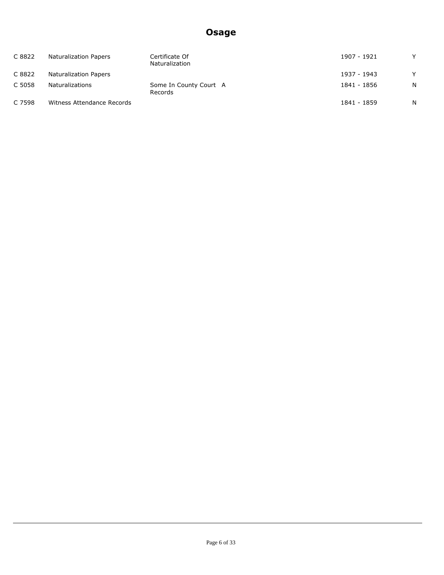| C 8822 | Naturalization Papers      | Certificate Of<br>Naturalization  | 1907 - 1921 | v            |
|--------|----------------------------|-----------------------------------|-------------|--------------|
| C 8822 | Naturalization Papers      |                                   | 1937 - 1943 | $\checkmark$ |
| C 5058 | Naturalizations            | Some In County Court A<br>Records | 1841 - 1856 | N            |
| C 7598 | Witness Attendance Records |                                   | 1841 - 1859 | N            |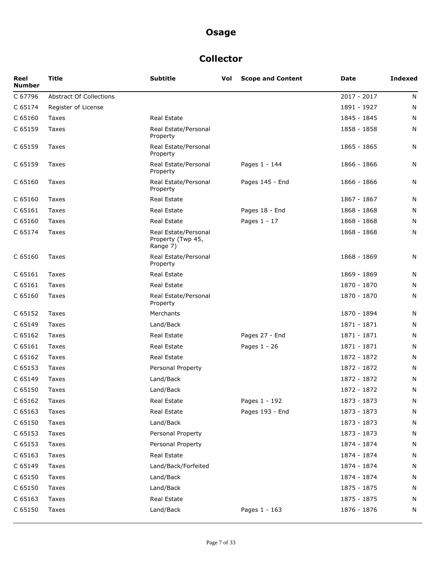### **Collector**

| Reel<br><b>Number</b> | <b>Title</b>                   | <b>Subtitle</b>                                       | Vol | <b>Scope and Content</b> | Date          | <b>Indexed</b> |
|-----------------------|--------------------------------|-------------------------------------------------------|-----|--------------------------|---------------|----------------|
| C 67796               | <b>Abstract Of Collections</b> |                                                       |     |                          | $2017 - 2017$ | N              |
| C 65174               | Register of License            |                                                       |     |                          | 1891 - 1927   | N              |
| C 65160               | Taxes                          | <b>Real Estate</b>                                    |     |                          | 1845 - 1845   | N              |
| C 65159               | Taxes                          | Real Estate/Personal<br>Property                      |     |                          | 1858 - 1858   | N              |
| C 65159               | Taxes                          | Real Estate/Personal<br>Property                      |     |                          | 1865 - 1865   | N              |
| C 65159               | Taxes                          | Real Estate/Personal<br>Property                      |     | Pages 1 - 144            | 1866 - 1866   | N              |
| C 65160               | Taxes                          | Real Estate/Personal<br>Property                      |     | Pages 145 - End          | 1866 - 1866   | N              |
| C 65160               | Taxes                          | <b>Real Estate</b>                                    |     |                          | 1867 - 1867   | N              |
| C 65161               | Taxes                          | <b>Real Estate</b>                                    |     | Pages 18 - End           | 1868 - 1868   | N              |
| C 65160               | Taxes                          | <b>Real Estate</b>                                    |     | Pages 1 - 17             | 1868 - 1868   | N              |
| C 65174               | Taxes                          | Real Estate/Personal<br>Property (Twp 45,<br>Range 7) |     |                          | 1868 - 1868   | N              |
| C 65160               | Taxes                          | Real Estate/Personal<br>Property                      |     |                          | 1868 - 1869   | N              |
| C 65161               | Taxes                          | <b>Real Estate</b>                                    |     |                          | 1869 - 1869   | N              |
| C 65161               | Taxes                          | Real Estate                                           |     |                          | 1870 - 1870   | N              |
| C 65160               | Taxes                          | Real Estate/Personal<br>Property                      |     |                          | 1870 - 1870   | N              |
| C 65152               | Taxes                          | Merchants                                             |     |                          | 1870 - 1894   | N              |
| C 65149               | Taxes                          | Land/Back                                             |     |                          | 1871 - 1871   | N              |
| C 65162               | Taxes                          | <b>Real Estate</b>                                    |     | Pages 27 - End           | 1871 - 1871   | N              |
| C 65161               | Taxes                          | Real Estate                                           |     | Pages 1 - 26             | 1871 - 1871   | N              |
| C 65162               | Taxes                          | <b>Real Estate</b>                                    |     |                          | 1872 - 1872   | N              |
| C 65153               | Taxes                          | Personal Property                                     |     |                          | 1872 - 1872   | N              |
| C 65149               | Taxes                          | Land/Back                                             |     |                          | 1872 - 1872   | N              |
| C 65150               | Taxes                          | Land/Back                                             |     |                          | 1872 - 1872   | N              |
| C 65162               | Taxes                          | Real Estate                                           |     | Pages 1 - 192            | 1873 - 1873   | N              |
| C 65163               | Taxes                          | Real Estate                                           |     | Pages 193 - End          | 1873 - 1873   | N              |
| C 65150               | Taxes                          | Land/Back                                             |     |                          | 1873 - 1873   | N              |
| C 65153               | Taxes                          | Personal Property                                     |     |                          | 1873 - 1873   | N              |
| C 65153               | Taxes                          | Personal Property                                     |     |                          | 1874 - 1874   | N              |
| C 65163               | Taxes                          | Real Estate                                           |     |                          | 1874 - 1874   | N              |
| C 65149               | Taxes                          | Land/Back/Forfeited                                   |     |                          | 1874 - 1874   | N              |
| C 65150               | Taxes                          | Land/Back                                             |     |                          | 1874 - 1874   | N              |
| C 65150               | Taxes                          | Land/Back                                             |     |                          | 1875 - 1875   | N              |
| C 65163               | Taxes                          | Real Estate                                           |     |                          | 1875 - 1875   | N              |
| C 65150               | Taxes                          | Land/Back                                             |     | Pages 1 - 163            | 1876 - 1876   | N              |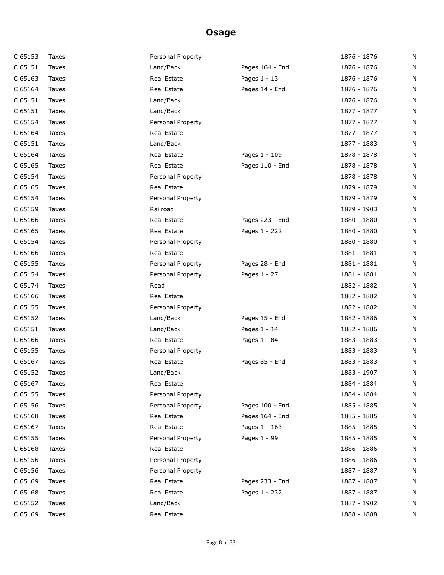| C 65153 | Taxes | Personal Property |                 | 1876 - 1876 | N |
|---------|-------|-------------------|-----------------|-------------|---|
| C 65151 | Taxes | Land/Back         | Pages 164 - End | 1876 - 1876 | N |
| C 65163 | Taxes | Real Estate       | Pages 1 - 13    | 1876 - 1876 | N |
| C 65164 | Taxes | Real Estate       | Pages 14 - End  | 1876 - 1876 | N |
| C 65151 | Taxes | Land/Back         |                 | 1876 - 1876 | N |
| C 65151 | Taxes | Land/Back         |                 | 1877 - 1877 | N |
| C 65154 | Taxes | Personal Property |                 | 1877 - 1877 | N |
| C 65164 | Taxes | Real Estate       |                 | 1877 - 1877 | N |
| C 65151 | Taxes | Land/Back         |                 | 1877 - 1883 | N |
| C 65164 | Taxes | Real Estate       | Pages 1 - 109   | 1878 - 1878 | N |
| C 65165 | Taxes | Real Estate       | Pages 110 - End | 1878 - 1878 | N |
| C 65154 | Taxes | Personal Property |                 | 1878 - 1878 | N |
| C 65165 | Taxes | Real Estate       |                 | 1879 - 1879 | N |
| C 65154 | Taxes | Personal Property |                 | 1879 - 1879 | N |
| C 65159 | Taxes | Railroad          |                 | 1879 - 1903 | N |
| C 65166 | Taxes | Real Estate       | Pages 223 - End | 1880 - 1880 | N |
| C 65165 | Taxes | Real Estate       | Pages 1 - 222   | 1880 - 1880 | N |
| C 65154 | Taxes | Personal Property |                 | 1880 - 1880 | N |
| C 65166 | Taxes | Real Estate       |                 | 1881 - 1881 | N |
| C 65155 | Taxes | Personal Property | Pages 28 - End  | 1881 - 1881 | N |
| C 65154 | Taxes | Personal Property | Pages 1 - 27    | 1881 - 1881 | N |
| C 65174 | Taxes | Road              |                 | 1882 - 1882 | N |
| C 65166 | Taxes | Real Estate       |                 | 1882 - 1882 | N |
| C 65155 | Taxes | Personal Property |                 | 1882 - 1882 | N |
| C 65152 | Taxes | Land/Back         | Pages 15 - End  | 1882 - 1886 | N |
| C 65151 | Taxes | Land/Back         | Pages 1 - 14    | 1882 - 1886 | N |
| C 65166 | Taxes | Real Estate       | Pages 1 - 84    | 1883 - 1883 | N |
| C 65155 | Taxes | Personal Property |                 | 1883 - 1883 | N |
| C 65167 | Taxes | Real Estate       | Pages 85 - End  | 1883 - 1883 | N |
| C 65152 | Taxes | Land/Back         |                 | 1883 - 1907 | N |
| C 65167 | Taxes | Real Estate       |                 | 1884 - 1884 | N |
| C 65155 | Taxes | Personal Property |                 | 1884 - 1884 | N |
| C 65156 | Taxes | Personal Property | Pages 100 - End | 1885 - 1885 | N |
| C 65168 | Taxes | Real Estate       | Pages 164 - End | 1885 - 1885 | N |
| C 65167 | Taxes | Real Estate       | Pages 1 - 163   | 1885 - 1885 | N |
| C 65155 | Taxes | Personal Property | Pages 1 - 99    | 1885 - 1885 | N |
| C 65168 | Taxes | Real Estate       |                 | 1886 - 1886 | N |
| C 65156 | Taxes | Personal Property |                 | 1886 - 1886 | N |
| C 65156 | Taxes | Personal Property |                 | 1887 - 1887 | N |
| C 65169 | Taxes | Real Estate       | Pages 233 - End | 1887 - 1887 | N |
| C 65168 | Taxes | Real Estate       | Pages 1 - 232   | 1887 - 1887 | N |
| C 65152 | Taxes | Land/Back         |                 | 1887 - 1902 | N |
| C 65169 | Taxes | Real Estate       |                 | 1888 - 1888 | N |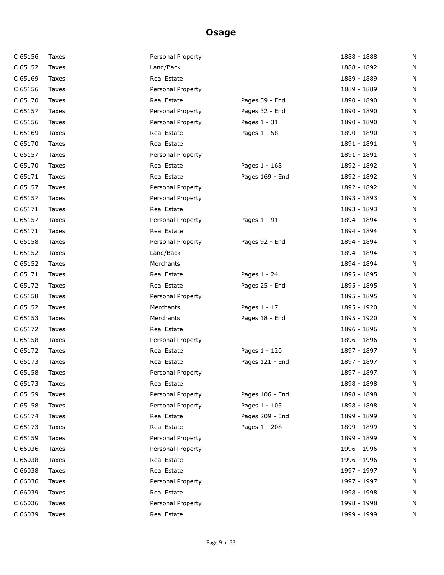| C 65156 | Taxes | Personal Property |                 | 1888 - 1888 | N |
|---------|-------|-------------------|-----------------|-------------|---|
| C 65152 | Taxes | Land/Back         |                 | 1888 - 1892 | N |
| C 65169 | Taxes | Real Estate       |                 | 1889 - 1889 | N |
| C 65156 | Taxes | Personal Property |                 | 1889 - 1889 | N |
| C 65170 | Taxes | Real Estate       | Pages 59 - End  | 1890 - 1890 | N |
| C 65157 | Taxes | Personal Property | Pages 32 - End  | 1890 - 1890 | N |
| C 65156 | Taxes | Personal Property | Pages 1 - 31    | 1890 - 1890 | N |
| C 65169 | Taxes | Real Estate       | Pages 1 - 58    | 1890 - 1890 | N |
| C 65170 | Taxes | Real Estate       |                 | 1891 - 1891 | N |
| C 65157 | Taxes | Personal Property |                 | 1891 - 1891 | N |
| C 65170 | Taxes | Real Estate       | Pages 1 - 168   | 1892 - 1892 | N |
| C 65171 | Taxes | Real Estate       | Pages 169 - End | 1892 - 1892 | N |
| C 65157 | Taxes | Personal Property |                 | 1892 - 1892 | N |
| C 65157 | Taxes | Personal Property |                 | 1893 - 1893 | N |
| C 65171 | Taxes | Real Estate       |                 | 1893 - 1893 | N |
| C 65157 | Taxes | Personal Property | Pages 1 - 91    | 1894 - 1894 | N |
| C 65171 | Taxes | Real Estate       |                 | 1894 - 1894 | N |
| C 65158 | Taxes | Personal Property | Pages 92 - End  | 1894 - 1894 | N |
| C 65152 | Taxes | Land/Back         |                 | 1894 - 1894 | N |
| C 65152 | Taxes | Merchants         |                 | 1894 - 1894 | N |
| C 65171 | Taxes | Real Estate       | Pages 1 - 24    | 1895 - 1895 | N |
| C 65172 | Taxes | Real Estate       | Pages 25 - End  | 1895 - 1895 | N |
| C 65158 | Taxes | Personal Property |                 | 1895 - 1895 | N |
| C 65152 | Taxes | Merchants         | Pages 1 - 17    | 1895 - 1920 | N |
| C 65153 | Taxes | Merchants         | Pages 18 - End  | 1895 - 1920 | N |
| C 65172 | Taxes | Real Estate       |                 | 1896 - 1896 | N |
| C 65158 | Taxes | Personal Property |                 | 1896 - 1896 | N |
| C 65172 | Taxes | Real Estate       | Pages 1 - 120   | 1897 - 1897 | N |
| C 65173 | Taxes | Real Estate       | Pages 121 - End | 1897 - 1897 | N |
| C 65158 | Taxes | Personal Property |                 | 1897 - 1897 | N |
| C 65173 | Taxes | Real Estate       |                 | 1898 - 1898 | N |
| C 65159 | Taxes | Personal Property | Pages 106 - End | 1898 - 1898 | N |
| C 65158 | Taxes | Personal Property | Pages 1 - 105   | 1898 - 1898 | N |
| C 65174 | Taxes | Real Estate       | Pages 209 - End | 1899 - 1899 | N |
| C 65173 | Taxes | Real Estate       | Pages 1 - 208   | 1899 - 1899 | N |
| C 65159 | Taxes | Personal Property |                 | 1899 - 1899 | N |
| C 66036 | Taxes | Personal Property |                 | 1996 - 1996 | N |
| C 66038 | Taxes | Real Estate       |                 | 1996 - 1996 | N |
| C 66038 | Taxes | Real Estate       |                 | 1997 - 1997 | N |
| C 66036 | Taxes | Personal Property |                 | 1997 - 1997 | N |
| C 66039 | Taxes | Real Estate       |                 | 1998 - 1998 | N |
| C 66036 | Taxes | Personal Property |                 | 1998 - 1998 | N |
| C 66039 | Taxes | Real Estate       |                 | 1999 - 1999 | N |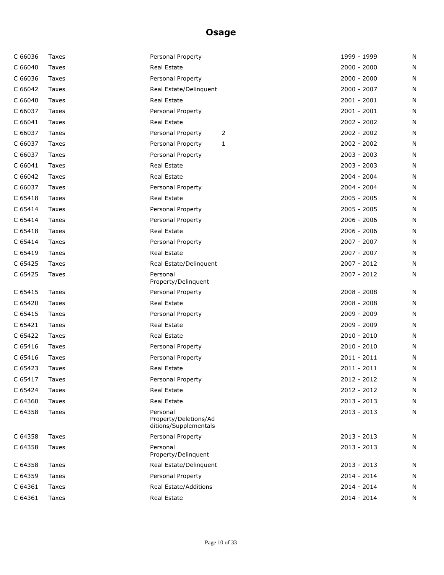| C 66036 | Taxes | Personal Property                                          | 1999 - 1999   | N |
|---------|-------|------------------------------------------------------------|---------------|---|
| C 66040 | Taxes | <b>Real Estate</b>                                         | $2000 - 2000$ | N |
| C 66036 | Taxes | Personal Property                                          | $2000 - 2000$ | N |
| C 66042 | Taxes | Real Estate/Delinquent                                     | 2000 - 2007   | N |
| C 66040 | Taxes | Real Estate                                                | $2001 - 2001$ | N |
| C 66037 | Taxes | Personal Property                                          | $2001 - 2001$ | N |
| C 66041 | Taxes | Real Estate                                                | $2002 - 2002$ | N |
| C 66037 | Taxes | Personal Property<br>2                                     | 2002 - 2002   | N |
| C 66037 | Taxes | Personal Property<br>1                                     | 2002 - 2002   | N |
| C 66037 | Taxes | Personal Property                                          | $2003 - 2003$ | N |
| C 66041 | Taxes | Real Estate                                                | $2003 - 2003$ | N |
| C 66042 | Taxes | Real Estate                                                | 2004 - 2004   | N |
| C 66037 | Taxes | Personal Property                                          | 2004 - 2004   | N |
| C 65418 | Taxes | Real Estate                                                | $2005 - 2005$ | N |
| C 65414 | Taxes | Personal Property                                          | 2005 - 2005   | N |
| C 65414 | Taxes | Personal Property                                          | $2006 - 2006$ | N |
| C 65418 | Taxes | Real Estate                                                | $2006 - 2006$ | N |
| C 65414 | Taxes | Personal Property                                          | 2007 - 2007   | N |
| C 65419 | Taxes | Real Estate                                                | 2007 - 2007   | N |
| C 65425 | Taxes | Real Estate/Delinquent                                     | 2007 - 2012   | N |
| C 65425 | Taxes | Personal<br>Property/Delinquent                            | 2007 - 2012   | N |
| C 65415 | Taxes | Personal Property                                          | 2008 - 2008   | N |
| C 65420 | Taxes | Real Estate                                                | $2008 - 2008$ | N |
| C 65415 | Taxes | Personal Property                                          | 2009 - 2009   | N |
| C 65421 | Taxes | Real Estate                                                | 2009 - 2009   | N |
| C 65422 | Taxes | Real Estate                                                | $2010 - 2010$ | N |
| C 65416 | Taxes | Personal Property                                          | $2010 - 2010$ | N |
| C 65416 | Taxes | Personal Property                                          | $2011 - 2011$ | N |
| C 65423 | Taxes | Real Estate                                                | $2011 - 2011$ | N |
| C 65417 | Taxes | Personal Property                                          | 2012 - 2012   | N |
| C 65424 | Taxes | Real Estate                                                | 2012 - 2012   | N |
| C 64360 | Taxes | Real Estate                                                | $2013 - 2013$ | N |
| C 64358 | Taxes | Personal<br>Property/Deletions/Ad<br>ditions/Supplementals | $2013 - 2013$ | N |
| C 64358 | Taxes | Personal Property                                          | $2013 - 2013$ | N |
| C 64358 | Taxes | Personal<br>Property/Delinquent                            | 2013 - 2013   | N |
| C 64358 | Taxes | Real Estate/Delinquent                                     | $2013 - 2013$ | N |
| C 64359 | Taxes | Personal Property                                          | 2014 - 2014   | N |
| C 64361 | Taxes | Real Estate/Additions                                      | 2014 - 2014   | N |
| C 64361 | Taxes | Real Estate                                                | 2014 - 2014   | N |
|         |       |                                                            |               |   |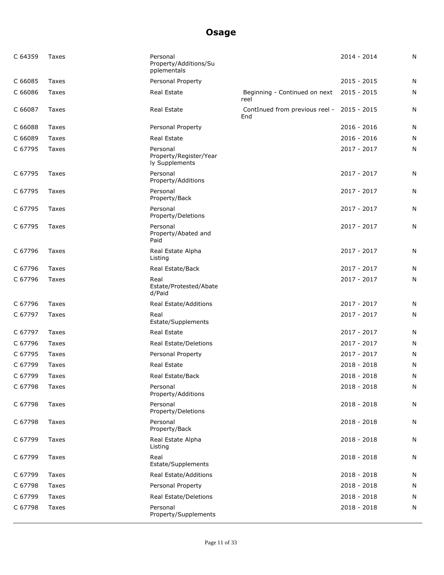| C 64359 | Taxes | Personal<br>Property/Additions/Su<br>pplementals     |                                       | $2014 - 2014$ | N |
|---------|-------|------------------------------------------------------|---------------------------------------|---------------|---|
| C 66085 | Taxes | Personal Property                                    |                                       | $2015 - 2015$ | N |
| C 66086 | Taxes | Real Estate                                          | Beginning - Continued on next<br>reel | $2015 - 2015$ | N |
| C 66087 | Taxes | Real Estate                                          | ContInued from previous reel -<br>End | 2015 - 2015   | N |
| C 66088 | Taxes | Personal Property                                    |                                       | $2016 - 2016$ | N |
| C 66089 | Taxes | Real Estate                                          |                                       | $2016 - 2016$ | N |
| C 67795 | Taxes | Personal<br>Property/Register/Year<br>ly Supplements |                                       | 2017 - 2017   | N |
| C 67795 | Taxes | Personal<br>Property/Additions                       |                                       | 2017 - 2017   | N |
| C 67795 | Taxes | Personal<br>Property/Back                            |                                       | 2017 - 2017   | N |
| C 67795 | Taxes | Personal<br>Property/Deletions                       |                                       | 2017 - 2017   | N |
| C 67795 | Taxes | Personal<br>Property/Abated and<br>Paid              |                                       | 2017 - 2017   | N |
| C 67796 | Taxes | Real Estate Alpha<br>Listing                         |                                       | 2017 - 2017   | N |
| C 67796 | Taxes | Real Estate/Back                                     |                                       | 2017 - 2017   | N |
| C 67796 | Taxes | Real<br>Estate/Protested/Abate<br>d/Paid             |                                       | 2017 - 2017   | N |
| C 67796 | Taxes | Real Estate/Additions                                |                                       | 2017 - 2017   | N |
| C 67797 | Taxes | Real<br>Estate/Supplements                           |                                       | 2017 - 2017   | N |
| C 67797 | Taxes | Real Estate                                          |                                       | 2017 - 2017   | N |
| C 67796 | Taxes | Real Estate/Deletions                                |                                       | 2017 - 2017   | N |
| C 67795 | Taxes | Personal Property                                    |                                       | 2017 - 2017   | N |
| C 67799 | Taxes | Real Estate                                          |                                       | $2018 - 2018$ | N |
| C 67799 | Taxes | Real Estate/Back                                     |                                       | $2018 - 2018$ | N |
| C 67798 | Taxes | Personal<br>Property/Additions                       |                                       | $2018 - 2018$ | N |
| C 67798 | Taxes | Personal<br>Property/Deletions                       |                                       | $2018 - 2018$ | N |
| C 67798 | Taxes | Personal<br>Property/Back                            |                                       | $2018 - 2018$ | N |
| C 67799 | Taxes | Real Estate Alpha<br>Listing                         |                                       | $2018 - 2018$ | N |
| C 67799 | Taxes | Real<br>Estate/Supplements                           |                                       | $2018 - 2018$ | N |
| C 67799 | Taxes | Real Estate/Additions                                |                                       | 2018 - 2018   | N |
| C 67798 | Taxes | Personal Property                                    |                                       | 2018 - 2018   | N |
| C 67799 | Taxes | Real Estate/Deletions                                |                                       | 2018 - 2018   | N |
| C 67798 | Taxes | Personal<br>Property/Supplements                     |                                       | 2018 - 2018   | N |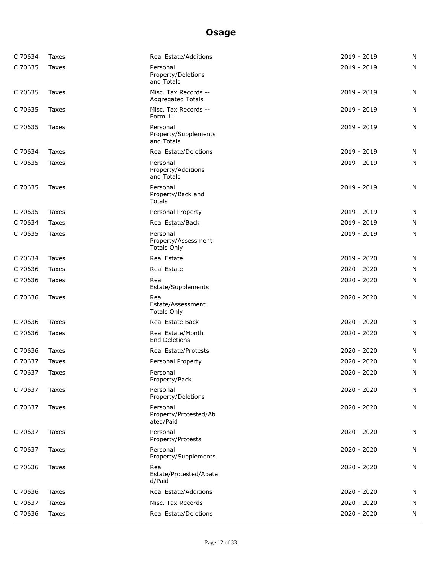| C 70634 | <b>Taxes</b> | Real Estate/Additions                                 | 2019 - 2019   | N |
|---------|--------------|-------------------------------------------------------|---------------|---|
| C 70635 | Taxes        | Personal<br>Property/Deletions<br>and Totals          | 2019 - 2019   | N |
| C 70635 | Taxes        | Misc. Tax Records --<br><b>Aggregated Totals</b>      | 2019 - 2019   | N |
| C 70635 | Taxes        | Misc. Tax Records --<br>Form 11                       | 2019 - 2019   | N |
| C 70635 | Taxes        | Personal<br>Property/Supplements<br>and Totals        | 2019 - 2019   | N |
| C 70634 | Taxes        | Real Estate/Deletions                                 | $2019 - 2019$ | N |
| C 70635 | Taxes        | Personal<br>Property/Additions<br>and Totals          | 2019 - 2019   | N |
| C 70635 | Taxes        | Personal<br>Property/Back and<br>Totals               | 2019 - 2019   | N |
| C 70635 | Taxes        | Personal Property                                     | 2019 - 2019   | N |
| C 70634 | Taxes        | Real Estate/Back                                      | 2019 - 2019   | N |
| C 70635 | Taxes        | Personal<br>Property/Assessment<br><b>Totals Only</b> | 2019 - 2019   | N |
| C 70634 | Taxes        | Real Estate                                           | 2019 - 2020   | N |
| C 70636 | Taxes        | <b>Real Estate</b>                                    | 2020 - 2020   | N |
| C 70636 | Taxes        | Real<br>Estate/Supplements                            | 2020 - 2020   | N |
| C 70636 | Taxes        | Real<br>Estate/Assessment<br><b>Totals Only</b>       | $2020 - 2020$ | N |
| C 70636 | Taxes        | Real Estate Back                                      | 2020 - 2020   | N |
| C 70636 | Taxes        | Real Estate/Month<br><b>End Deletions</b>             | $2020 - 2020$ | N |
| C 70636 | Taxes        | Real Estate/Protests                                  | 2020 - 2020   | N |
| C 70637 | <b>Taxes</b> | Personal Property                                     | 2020 - 2020   | N |
| C 70637 | Taxes        | Personal<br>Property/Back                             | $2020 - 2020$ | N |
| C 70637 | Taxes        | Personal<br>Property/Deletions                        | 2020 - 2020   | N |
| C 70637 | Taxes        | Personal<br>Property/Protested/Ab<br>ated/Paid        | 2020 - 2020   | Ν |
| C 70637 | Taxes        | Personal<br>Property/Protests                         | $2020 - 2020$ | N |
| C 70637 | Taxes        | Personal<br>Property/Supplements                      | 2020 - 2020   | N |
| C 70636 | Taxes        | Real<br>Estate/Protested/Abate<br>d/Paid              | 2020 - 2020   | N |
| C 70636 | Taxes        | Real Estate/Additions                                 | 2020 - 2020   | N |
| C 70637 | Taxes        | Misc. Tax Records                                     | 2020 - 2020   | N |
| C 70636 | Taxes        | Real Estate/Deletions                                 | 2020 - 2020   | N |
|         |              |                                                       |               |   |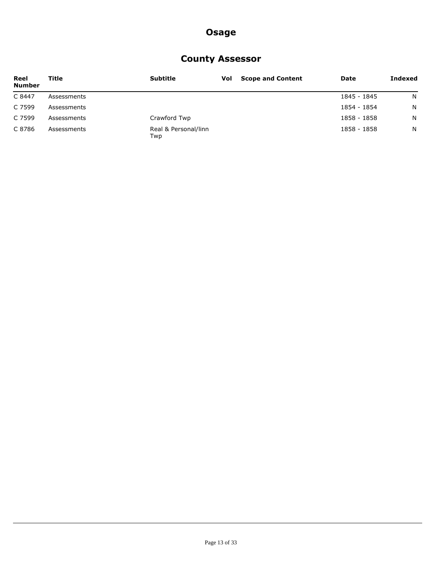### **County Assessor**

| Reel<br><b>Number</b> | Title       | <b>Subtitle</b>             | Vol | <b>Scope and Content</b> | Date        | Indexed |
|-----------------------|-------------|-----------------------------|-----|--------------------------|-------------|---------|
| C 8447                | Assessments |                             |     |                          | 1845 - 1845 | N       |
| C 7599                | Assessments |                             |     |                          | 1854 - 1854 | N       |
| C 7599                | Assessments | Crawford Twp                |     |                          | 1858 - 1858 | N.      |
| C 8786                | Assessments | Real & Personal/linn<br>Twp |     |                          | 1858 - 1858 | N.      |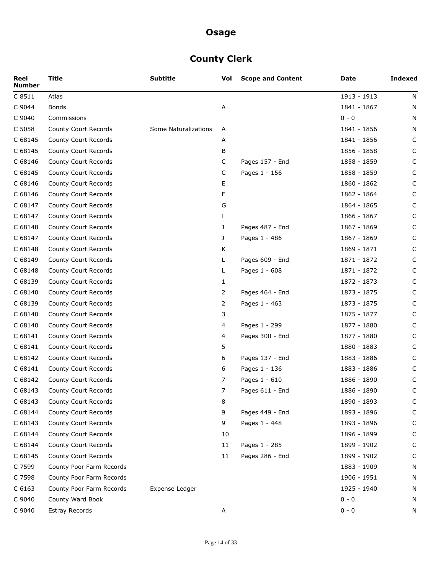# **County Clerk**

| Reel<br><b>Number</b> | Title                       | <b>Subtitle</b>      | Vol            | <b>Scope and Content</b> | Date        | <b>Indexed</b> |
|-----------------------|-----------------------------|----------------------|----------------|--------------------------|-------------|----------------|
| C 8511                | Atlas                       |                      |                |                          | 1913 - 1913 | N              |
| C 9044                | <b>Bonds</b>                |                      | Α              |                          | 1841 - 1867 | N              |
| C 9040                | Commissions                 |                      |                |                          | $0 - 0$     | N              |
| C 5058                | County Court Records        | Some Naturalizations | A              |                          | 1841 - 1856 | N              |
| C 68145               | County Court Records        |                      | A              |                          | 1841 - 1856 | C              |
| C 68145               | County Court Records        |                      | В              |                          | 1856 - 1858 | C              |
| C 68146               | County Court Records        |                      | C              | Pages 157 - End          | 1858 - 1859 | C              |
| C 68145               | County Court Records        |                      | C              | Pages 1 - 156            | 1858 - 1859 | C              |
| C 68146               | County Court Records        |                      | Е              |                          | 1860 - 1862 | C              |
| C 68146               | County Court Records        |                      | F              |                          | 1862 - 1864 | C              |
| C 68147               | County Court Records        |                      | G              |                          | 1864 - 1865 | C              |
| C 68147               | County Court Records        |                      | Ι              |                          | 1866 - 1867 | C              |
| C 68148               | County Court Records        |                      | J              | Pages 487 - End          | 1867 - 1869 | C              |
| C 68147               | County Court Records        |                      | J              | Pages 1 - 486            | 1867 - 1869 | C              |
| C 68148               | County Court Records        |                      | K              |                          | 1869 - 1871 | C              |
| C 68149               | County Court Records        |                      | L              | Pages 609 - End          | 1871 - 1872 | C              |
| C 68148               | County Court Records        |                      | L              | Pages 1 - 608            | 1871 - 1872 | C              |
| C 68139               | <b>County Court Records</b> |                      | 1              |                          | 1872 - 1873 | C              |
| C 68140               | County Court Records        |                      | 2              | Pages 464 - End          | 1873 - 1875 | C              |
| C 68139               | County Court Records        |                      | $\overline{2}$ | Pages 1 - 463            | 1873 - 1875 | C              |
| C 68140               | County Court Records        |                      | 3              |                          | 1875 - 1877 | C              |
| C 68140               | County Court Records        |                      | 4              | Pages 1 - 299            | 1877 - 1880 | C              |
| C 68141               | County Court Records        |                      | 4              | Pages 300 - End          | 1877 - 1880 | C              |
| C 68141               | County Court Records        |                      | 5              |                          | 1880 - 1883 | C              |
| C 68142               | County Court Records        |                      | 6              | Pages 137 - End          | 1883 - 1886 | C              |
| C 68141               | County Court Records        |                      | 6              | Pages 1 - 136            | 1883 - 1886 | C              |
| C 68142               | County Court Records        |                      | 7              | Pages 1 - 610            | 1886 - 1890 | C              |
| C 68143               | County Court Records        |                      | 7              | Pages 611 - End          | 1886 - 1890 | C              |
| C 68143               | County Court Records        |                      | 8              |                          | 1890 - 1893 | C              |
| C 68144               | County Court Records        |                      | 9              | Pages 449 - End          | 1893 - 1896 | C              |
| C 68143               | County Court Records        |                      | 9              | Pages 1 - 448            | 1893 - 1896 | C              |
| C 68144               | County Court Records        |                      | 10             |                          | 1896 - 1899 | C              |
| C 68144               | County Court Records        |                      | 11             | Pages 1 - 285            | 1899 - 1902 | C              |
| C 68145               | County Court Records        |                      | 11             | Pages 286 - End          | 1899 - 1902 | C              |
| C 7599                | County Poor Farm Records    |                      |                |                          | 1883 - 1909 | N              |
| C 7598                | County Poor Farm Records    |                      |                |                          | 1906 - 1951 | N              |
| C 6163                | County Poor Farm Records    | Expense Ledger       |                |                          | 1925 - 1940 | N              |
| C 9040                | County Ward Book            |                      |                |                          | $0 - 0$     | N              |
| C 9040                | <b>Estray Records</b>       |                      | Α              |                          | $0 - 0$     | N              |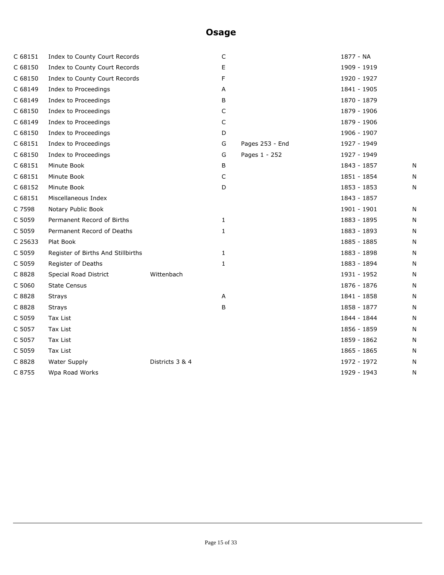| C 68151 | Index to County Court Records      |                 | C            |                 | 1877 - NA   |   |
|---------|------------------------------------|-----------------|--------------|-----------------|-------------|---|
| C 68150 | Index to County Court Records      |                 | Е            |                 | 1909 - 1919 |   |
| C 68150 | Index to County Court Records      |                 | F            |                 | 1920 - 1927 |   |
| C 68149 | Index to Proceedings               |                 | Α            |                 | 1841 - 1905 |   |
| C 68149 | Index to Proceedings               |                 | В            |                 | 1870 - 1879 |   |
| C 68150 | Index to Proceedings               |                 | C            |                 | 1879 - 1906 |   |
| C 68149 | Index to Proceedings               |                 | C            |                 | 1879 - 1906 |   |
| C 68150 | Index to Proceedings               |                 | D            |                 | 1906 - 1907 |   |
| C 68151 | Index to Proceedings               |                 | G            | Pages 253 - End | 1927 - 1949 |   |
| C 68150 | Index to Proceedings               |                 | G            | Pages 1 - 252   | 1927 - 1949 |   |
| C 68151 | Minute Book                        |                 | В            |                 | 1843 - 1857 | N |
| C 68151 | Minute Book                        |                 | C            |                 | 1851 - 1854 | N |
| C 68152 | Minute Book                        |                 | D            |                 | 1853 - 1853 | N |
| C 68151 | Miscellaneous Index                |                 |              |                 | 1843 - 1857 |   |
| C 7598  | Notary Public Book                 |                 |              |                 | 1901 - 1901 | N |
| C 5059  | Permanent Record of Births         |                 | 1            |                 | 1883 - 1895 | N |
| C 5059  | Permanent Record of Deaths         |                 | 1            |                 | 1883 - 1893 | N |
| C 25633 | Plat Book                          |                 |              |                 | 1885 - 1885 | N |
| C 5059  | Register of Births And Stillbirths |                 | $\mathbf{1}$ |                 | 1883 - 1898 | N |
| C 5059  | Register of Deaths                 |                 | 1            |                 | 1883 - 1894 | N |
| C 8828  | Special Road District              | Wittenbach      |              |                 | 1931 - 1952 | N |
| C 5060  | <b>State Census</b>                |                 |              |                 | 1876 - 1876 | N |
| C 8828  | <b>Strays</b>                      |                 | Α            |                 | 1841 - 1858 | N |
| C 8828  | <b>Strays</b>                      |                 | В            |                 | 1858 - 1877 | N |
| C 5059  | Tax List                           |                 |              |                 | 1844 - 1844 | N |
| C 5057  | Tax List                           |                 |              |                 | 1856 - 1859 | N |
| C 5057  | <b>Tax List</b>                    |                 |              |                 | 1859 - 1862 | N |
| C 5059  | Tax List                           |                 |              |                 | 1865 - 1865 | N |
| C 8828  | <b>Water Supply</b>                | Districts 3 & 4 |              |                 | 1972 - 1972 | N |
| C 8755  | Wpa Road Works                     |                 |              |                 | 1929 - 1943 | N |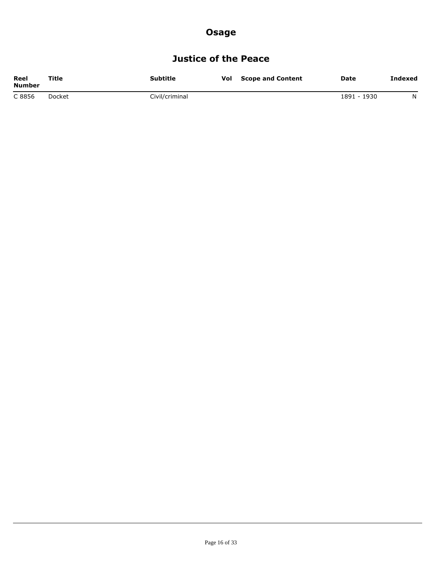## **Justice of the Peace**

| Reel<br><b>Number</b> | Title  | Subtitle       | Vol | <b>Scope and Content</b> | Date        | Indexed |
|-----------------------|--------|----------------|-----|--------------------------|-------------|---------|
| C 8856                | Docket | Civil/criminal |     |                          | 1891 - 1930 | N       |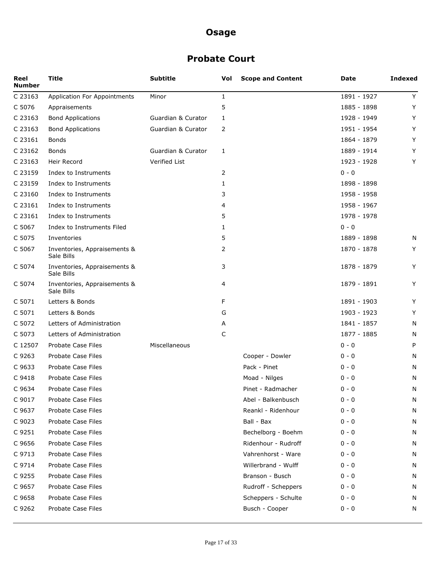### **Probate Court**

| Reel<br><b>Number</b> | <b>Title</b>                               | <b>Subtitle</b>    | Vol          | <b>Scope and Content</b> | Date        | <b>Indexed</b> |
|-----------------------|--------------------------------------------|--------------------|--------------|--------------------------|-------------|----------------|
| C 23163               | Application For Appointments               | Minor              | $\mathbf{1}$ |                          | 1891 - 1927 | Y              |
| C 5076                | Appraisements                              |                    | 5            |                          | 1885 - 1898 | Υ              |
| C 23163               | <b>Bond Applications</b>                   | Guardian & Curator | 1            |                          | 1928 - 1949 | Υ              |
| C 23163               | <b>Bond Applications</b>                   | Guardian & Curator | 2            |                          | 1951 - 1954 | Y              |
| C 23161               | Bonds                                      |                    |              |                          | 1864 - 1879 | Y              |
| C 23162               | <b>Bonds</b>                               | Guardian & Curator | 1            |                          | 1889 - 1914 | Y              |
| C 23163               | Heir Record                                | Verified List      |              |                          | 1923 - 1928 | Y              |
| C 23159               | Index to Instruments                       |                    | 2            |                          | $0 - 0$     |                |
| C 23159               | Index to Instruments                       |                    | 1            |                          | 1898 - 1898 |                |
| C 23160               | Index to Instruments                       |                    | 3            |                          | 1958 - 1958 |                |
| C 23161               | Index to Instruments                       |                    | 4            |                          | 1958 - 1967 |                |
| C 23161               | Index to Instruments                       |                    | 5            |                          | 1978 - 1978 |                |
| C 5067                | Index to Instruments Filed                 |                    | 1            |                          | $0 - 0$     |                |
| C 5075                | Inventories                                |                    | 5            |                          | 1889 - 1898 | N              |
| C 5067                | Inventories, Appraisements &<br>Sale Bills |                    | 2            |                          | 1870 - 1878 | Y              |
| C 5074                | Inventories, Appraisements &<br>Sale Bills |                    | 3            |                          | 1878 - 1879 | Y              |
| C 5074                | Inventories, Appraisements &<br>Sale Bills |                    | 4            |                          | 1879 - 1891 | Y              |
| C 5071                | Letters & Bonds                            |                    | F            |                          | 1891 - 1903 | Υ              |
| C 5071                | Letters & Bonds                            |                    | G            |                          | 1903 - 1923 | Y              |
| C 5072                | Letters of Administration                  |                    | A            |                          | 1841 - 1857 | N              |
| C 5073                | Letters of Administration                  |                    | C            |                          | 1877 - 1885 | N              |
| C 12507               | Probate Case Files                         | Miscellaneous      |              |                          | $0 - 0$     | P              |
| C 9263                | Probate Case Files                         |                    |              | Cooper - Dowler          | $0 - 0$     | N              |
| C 9633                | Probate Case Files                         |                    |              | Pack - Pinet             | $0 - 0$     | N              |
| C 9418                | Probate Case Files                         |                    |              | Moad - Nilges            | $0 - 0$     | N              |
| C 9634                | Probate Case Files                         |                    |              | Pinet - Radmacher        | $0 - 0$     | N              |
| C 9017                | Probate Case Files                         |                    |              | Abel - Balkenbusch       | $0 - 0$     | N              |
| C 9637                | Probate Case Files                         |                    |              | Reankl - Ridenhour       | 0 - 0       | N              |
| C 9023                | Probate Case Files                         |                    |              | Ball - Bax               | $0 - 0$     | N              |
| C 9251                | Probate Case Files                         |                    |              | Bechelborg - Boehm       | $0 - 0$     | N              |
| C 9656                | Probate Case Files                         |                    |              | Ridenhour - Rudroff      | $0 - 0$     | N              |
| C 9713                | Probate Case Files                         |                    |              | Vahrenhorst - Ware       | $0 - 0$     | N              |
| C 9714                | Probate Case Files                         |                    |              | Willerbrand - Wulff      | $0 - 0$     | N              |
| C 9255                | Probate Case Files                         |                    |              | Branson - Busch          | $0 - 0$     | N              |
| C 9657                | Probate Case Files                         |                    |              | Rudroff - Scheppers      | $0 - 0$     | N              |
| C 9658                | Probate Case Files                         |                    |              | Scheppers - Schulte      | $0 - 0$     | N              |
| C 9262                | Probate Case Files                         |                    |              | Busch - Cooper           | $0 - 0$     | N              |
|                       |                                            |                    |              |                          |             |                |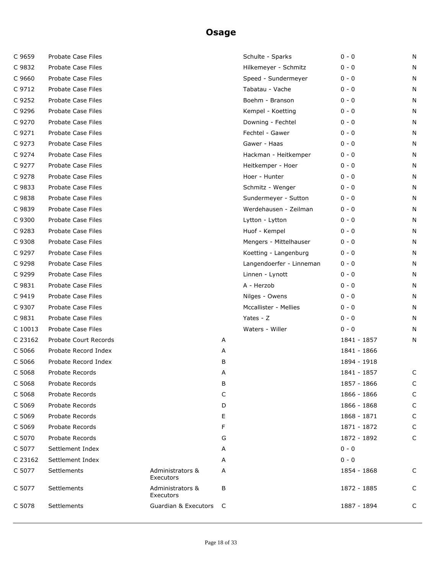| C 9659  | Probate Case Files        |                                 |   | Schulte - Sparks         | $0 - 0$     | N |
|---------|---------------------------|---------------------------------|---|--------------------------|-------------|---|
| C 9832  | Probate Case Files        |                                 |   | Hilkemeyer - Schmitz     | $0 - 0$     | N |
| C 9660  | <b>Probate Case Files</b> |                                 |   | Speed - Sundermeyer      | $0 - 0$     | N |
| C 9712  | Probate Case Files        |                                 |   | Tabatau - Vache          | $0 - 0$     | N |
| C 9252  | <b>Probate Case Files</b> |                                 |   | Boehm - Branson          | $0 - 0$     | N |
| C 9296  | Probate Case Files        |                                 |   | Kempel - Koetting        | $0 - 0$     | N |
| C 9270  | <b>Probate Case Files</b> |                                 |   | Downing - Fechtel        | $0 - 0$     | N |
| C 9271  | Probate Case Files        |                                 |   | Fechtel - Gawer          | $0 - 0$     | N |
| C 9273  | Probate Case Files        |                                 |   | Gawer - Haas             | $0 - 0$     | N |
| C 9274  | <b>Probate Case Files</b> |                                 |   | Hackman - Heitkemper     | $0 - 0$     | N |
| C 9277  | Probate Case Files        |                                 |   | Heitkemper - Hoer        | $0 - 0$     | N |
| C 9278  | Probate Case Files        |                                 |   | Hoer - Hunter            | $0 - 0$     | N |
| C 9833  | Probate Case Files        |                                 |   | Schmitz - Wenger         | $0 - 0$     | N |
| C 9838  | Probate Case Files        |                                 |   | Sundermeyer - Sutton     | $0 - 0$     | N |
| C 9839  | Probate Case Files        |                                 |   | Werdehausen - Zeilman    | $0 - 0$     | N |
| C 9300  | Probate Case Files        |                                 |   | Lytton - Lytton          | $0 - 0$     | N |
| C 9283  | Probate Case Files        |                                 |   | Huof - Kempel            | $0 - 0$     | N |
| C 9308  | Probate Case Files        |                                 |   | Mengers - Mittelhauser   | $0 - 0$     | N |
| C 9297  | Probate Case Files        |                                 |   | Koetting - Langenburg    | $0 - 0$     | N |
| C 9298  | Probate Case Files        |                                 |   | Langendoerfer - Linneman | $0 - 0$     | N |
| C 9299  | Probate Case Files        |                                 |   | Linnen - Lynott          | $0 - 0$     | N |
| C 9831  | Probate Case Files        |                                 |   | A - Herzob               | $0 - 0$     | N |
| C 9419  | Probate Case Files        |                                 |   | Nilges - Owens           | $0 - 0$     | N |
| C 9307  | Probate Case Files        |                                 |   | Mccallister - Mellies    | $0 - 0$     | N |
| C 9831  | Probate Case Files        |                                 |   | Yates - Z                | $0 - 0$     | N |
| C 10013 | Probate Case Files        |                                 |   | Waters - Willer          | $0 - 0$     | N |
| C 23162 | Probate Court Records     |                                 | Α |                          | 1841 - 1857 | N |
| C 5066  | Probate Record Index      |                                 | А |                          | 1841 - 1866 |   |
| C 5066  | Probate Record Index      |                                 | В |                          | 1894 - 1918 |   |
| C 5068  | Probate Records           |                                 | A |                          | 1841 - 1857 | C |
| C 5068  | Probate Records           |                                 | В |                          | 1857 - 1866 | C |
| C 5068  | Probate Records           |                                 | C |                          | 1866 - 1866 | C |
| C 5069  | Probate Records           |                                 | D |                          | 1866 - 1868 | C |
| C 5069  | Probate Records           |                                 | Е |                          | 1868 - 1871 | C |
| C 5069  | Probate Records           |                                 | F |                          | 1871 - 1872 | C |
| C 5070  | Probate Records           |                                 | G |                          | 1872 - 1892 | C |
| C 5077  | Settlement Index          |                                 | А |                          | $0 - 0$     |   |
| C 23162 | Settlement Index          |                                 | А |                          | $0 - 0$     |   |
| C 5077  | Settlements               | Administrators &<br>Executors   | А |                          | 1854 - 1868 | C |
| C 5077  | Settlements               | Administrators &<br>Executors   | В |                          | 1872 - 1885 | C |
| C 5078  | Settlements               | <b>Guardian &amp; Executors</b> | C |                          | 1887 - 1894 | C |
|         |                           |                                 |   |                          |             |   |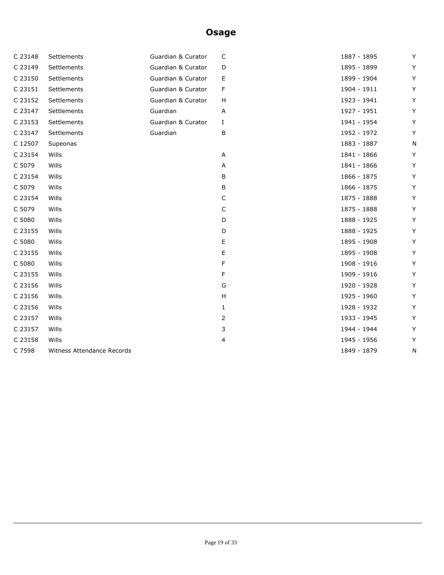| C 23148 | Settlements                | Guardian & Curator | C              | 1887 - 1895 | Y |
|---------|----------------------------|--------------------|----------------|-------------|---|
| C 23149 | Settlements                | Guardian & Curator | D              | 1895 - 1899 | Y |
| C 23150 | Settlements                | Guardian & Curator | Е              | 1899 - 1904 | Y |
| C 23151 | Settlements                | Guardian & Curator | F              | 1904 - 1911 | Y |
| C 23152 | Settlements                | Guardian & Curator | H              | 1923 - 1941 | Y |
| C 23147 | Settlements                | Guardian           | Α              | 1927 - 1951 | Y |
| C 23153 | Settlements                | Guardian & Curator | Ι.             | 1941 - 1954 | Y |
| C 23147 | Settlements                | Guardian           | В              | 1952 - 1972 | Y |
| C 12507 | Supeonas                   |                    |                | 1883 - 1887 | N |
| C 23154 | Wills                      |                    | Α              | 1841 - 1866 | Y |
| C 5079  | Wills                      |                    | Α              | 1841 - 1866 | Y |
| C 23154 | Wills                      |                    | В              | 1866 - 1875 | Y |
| C 5079  | Wills                      |                    | B              | 1866 - 1875 | Y |
| C 23154 | Wills                      |                    | C              | 1875 - 1888 | Y |
| C 5079  | Wills                      |                    | C              | 1875 - 1888 | Y |
| C 5080  | Wills                      |                    | D              | 1888 - 1925 | Y |
| C 23155 | Wills                      |                    | D              | 1888 - 1925 | Υ |
| C 5080  | Wills                      |                    | Е              | 1895 - 1908 | Y |
| C 23155 | Wills                      |                    | Ε              | 1895 - 1908 | Y |
| C 5080  | Wills                      |                    | F              | 1908 - 1916 | Y |
| C 23155 | Wills                      |                    | F              | 1909 - 1916 | Y |
| C 23156 | Wills                      |                    | G              | 1920 - 1928 | Υ |
| C 23156 | Wills                      |                    | H              | 1925 - 1960 | Y |
| C 23156 | Wills                      |                    | 1              | 1928 - 1932 | Y |
| C 23157 | Wills                      |                    | $\overline{2}$ | 1933 - 1945 | Y |
| C 23157 | Wills                      |                    | 3              | 1944 - 1944 | Y |
| C 23158 | Wills                      |                    | 4              | 1945 - 1956 | Y |
| C 7598  | Witness Attendance Records |                    |                | 1849 - 1879 | N |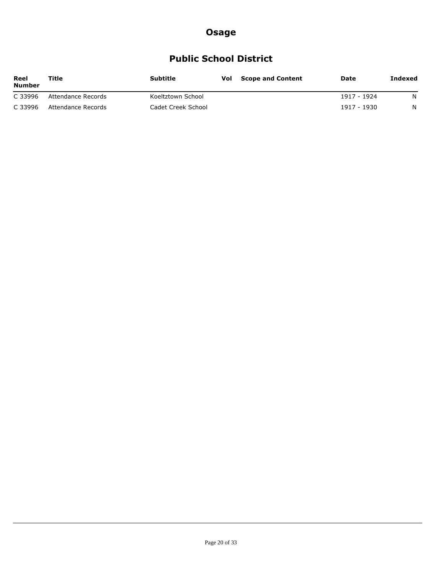## **Public School District**

| Reel<br><b>Number</b> | Title              | Subtitle           | <b>Vol</b> Scope and Content | Date        | Indexed |
|-----------------------|--------------------|--------------------|------------------------------|-------------|---------|
| C 33996               | Attendance Records | Koeltztown School  |                              | 1917 - 1924 | N.      |
| C 33996               | Attendance Records | Cadet Creek School |                              | 1917 - 1930 | N.      |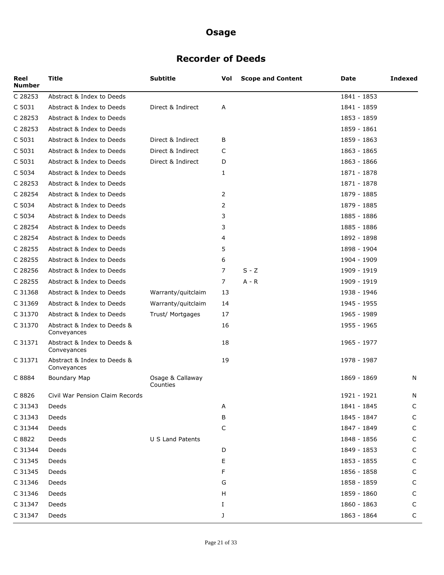### **Recorder of Deeds**

| Reel<br><b>Number</b> | <b>Title</b>                               | <b>Subtitle</b>              | Vol | <b>Scope and Content</b> | Date        | <b>Indexed</b> |
|-----------------------|--------------------------------------------|------------------------------|-----|--------------------------|-------------|----------------|
| C 28253               | Abstract & Index to Deeds                  |                              |     |                          | 1841 - 1853 |                |
| C 5031                | Abstract & Index to Deeds                  | Direct & Indirect            | Α   |                          | 1841 - 1859 |                |
| C 28253               | Abstract & Index to Deeds                  |                              |     |                          | 1853 - 1859 |                |
| C 28253               | Abstract & Index to Deeds                  |                              |     |                          | 1859 - 1861 |                |
| C 5031                | Abstract & Index to Deeds                  | Direct & Indirect            | B   |                          | 1859 - 1863 |                |
| C 5031                | Abstract & Index to Deeds                  | Direct & Indirect            | C   |                          | 1863 - 1865 |                |
| C 5031                | Abstract & Index to Deeds                  | Direct & Indirect            | D   |                          | 1863 - 1866 |                |
| C 5034                | Abstract & Index to Deeds                  |                              | 1   |                          | 1871 - 1878 |                |
| C 28253               | Abstract & Index to Deeds                  |                              |     |                          | 1871 - 1878 |                |
| C 28254               | Abstract & Index to Deeds                  |                              | 2   |                          | 1879 - 1885 |                |
| C 5034                | Abstract & Index to Deeds                  |                              | 2   |                          | 1879 - 1885 |                |
| C 5034                | Abstract & Index to Deeds                  |                              | 3   |                          | 1885 - 1886 |                |
| C 28254               | Abstract & Index to Deeds                  |                              | 3   |                          | 1885 - 1886 |                |
| C 28254               | Abstract & Index to Deeds                  |                              | 4   |                          | 1892 - 1898 |                |
| C 28255               | Abstract & Index to Deeds                  |                              | 5   |                          | 1898 - 1904 |                |
| C 28255               | Abstract & Index to Deeds                  |                              | 6   |                          | 1904 - 1909 |                |
| C 28256               | Abstract & Index to Deeds                  |                              | 7   | $S - Z$                  | 1909 - 1919 |                |
| C 28255               | Abstract & Index to Deeds                  |                              | 7   | A - R                    | 1909 - 1919 |                |
| C 31368               | Abstract & Index to Deeds                  | Warranty/quitclaim           | 13  |                          | 1938 - 1946 |                |
| C 31369               | Abstract & Index to Deeds                  | Warranty/quitclaim           | 14  |                          | 1945 - 1955 |                |
| C 31370               | Abstract & Index to Deeds                  | Trust/ Mortgages             | 17  |                          | 1965 - 1989 |                |
| C 31370               | Abstract & Index to Deeds &<br>Conveyances |                              | 16  |                          | 1955 - 1965 |                |
| C 31371               | Abstract & Index to Deeds &<br>Conveyances |                              | 18  |                          | 1965 - 1977 |                |
| C 31371               | Abstract & Index to Deeds &<br>Conveyances |                              | 19  |                          | 1978 - 1987 |                |
| C 8884                | <b>Boundary Map</b>                        | Osage & Callaway<br>Counties |     |                          | 1869 - 1869 | N              |
| C 8826                | Civil War Pension Claim Records            |                              |     |                          | 1921 - 1921 | N              |
| C 31343               | Deeds                                      |                              | Α   |                          | 1841 - 1845 | C              |
| C 31343               | Deeds                                      |                              | В   |                          | 1845 - 1847 | C              |
| C 31344               | Deeds                                      |                              | C   |                          | 1847 - 1849 | C              |
| C 8822                | Deeds                                      | U S Land Patents             |     |                          | 1848 - 1856 | C              |
| C 31344               | Deeds                                      |                              | D   |                          | 1849 - 1853 | C              |
| C 31345               | Deeds                                      |                              | Ε   |                          | 1853 - 1855 | C              |
| C 31345               | Deeds                                      |                              | F   |                          | 1856 - 1858 | C              |
| C 31346               | Deeds                                      |                              | G   |                          | 1858 - 1859 | C              |
| C 31346               | Deeds                                      |                              | н   |                          | 1859 - 1860 | C              |
| C 31347               | Deeds                                      |                              | Ι.  |                          | 1860 - 1863 | C              |
| C 31347               | Deeds                                      |                              | J   |                          | 1863 - 1864 | С              |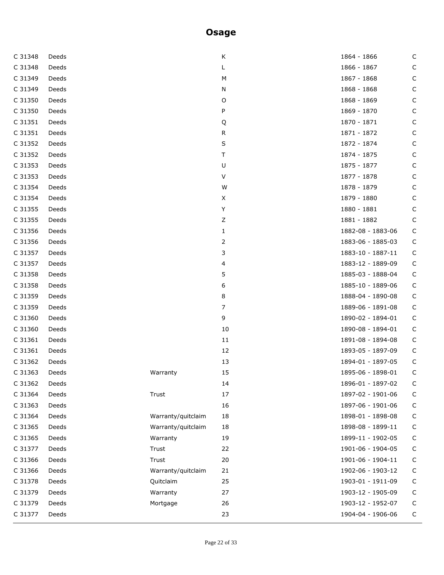| C 31348 | Deeds |                    | Κ      | 1864 - 1866       | C           |
|---------|-------|--------------------|--------|-------------------|-------------|
| C 31348 | Deeds |                    | L      | 1866 - 1867       | C           |
| C 31349 | Deeds |                    | М      | 1867 - 1868       | C           |
| C 31349 | Deeds |                    | N      | 1868 - 1868       | C           |
| C 31350 | Deeds |                    | O      | 1868 - 1869       | C           |
| C 31350 | Deeds |                    | P      | 1869 - 1870       | C           |
| C 31351 | Deeds |                    | Q      | 1870 - 1871       | C           |
| C 31351 | Deeds |                    | R      | 1871 - 1872       | C           |
| C 31352 | Deeds |                    | S      | 1872 - 1874       | C           |
| C 31352 | Deeds |                    | T      | 1874 - 1875       | C           |
| C 31353 | Deeds |                    | U      | 1875 - 1877       | C           |
| C 31353 | Deeds |                    | $\vee$ | 1877 - 1878       | C           |
| C 31354 | Deeds |                    | W      | 1878 - 1879       | C           |
| C 31354 | Deeds |                    | X      | 1879 - 1880       | C           |
| C 31355 | Deeds |                    | Y      | 1880 - 1881       | C           |
| C 31355 | Deeds |                    | Ζ      | 1881 - 1882       | C           |
| C 31356 | Deeds |                    | 1      | 1882-08 - 1883-06 | $\mathsf C$ |
| C 31356 | Deeds |                    | 2      | 1883-06 - 1885-03 | C           |
| C 31357 | Deeds |                    | 3      | 1883-10 - 1887-11 | C           |
| C 31357 | Deeds |                    | 4      | 1883-12 - 1889-09 | C           |
| C 31358 | Deeds |                    | 5      | 1885-03 - 1888-04 | $\mathsf C$ |
| C 31358 | Deeds |                    | 6      | 1885-10 - 1889-06 | C           |
| C 31359 | Deeds |                    | 8      | 1888-04 - 1890-08 | C           |
| C 31359 | Deeds |                    | 7      | 1889-06 - 1891-08 | C           |
| C 31360 | Deeds |                    | 9      | 1890-02 - 1894-01 | $\mathsf C$ |
| C 31360 | Deeds |                    | 10     | 1890-08 - 1894-01 | C           |
| C 31361 | Deeds |                    | 11     | 1891-08 - 1894-08 | C           |
| C 31361 | Deeds |                    | 12     | 1893-05 - 1897-09 | C           |
| C 31362 | Deeds |                    | 13     | 1894-01 - 1897-05 | C           |
| C 31363 | Deeds | Warranty           | 15     | 1895-06 - 1898-01 | C           |
| C 31362 | Deeds |                    | 14     | 1896-01 - 1897-02 | C           |
| C 31364 | Deeds | Trust              | 17     | 1897-02 - 1901-06 | $\mathsf C$ |
| C 31363 | Deeds |                    | 16     | 1897-06 - 1901-06 | C           |
| C 31364 | Deeds | Warranty/quitclaim | 18     | 1898-01 - 1898-08 | $\mathsf C$ |
| C 31365 | Deeds | Warranty/quitclaim | 18     | 1898-08 - 1899-11 | C           |
| C 31365 | Deeds | Warranty           | 19     | 1899-11 - 1902-05 | $\mathsf C$ |
| C 31377 | Deeds | Trust              | 22     | 1901-06 - 1904-05 | C           |
| C 31366 | Deeds | Trust              | 20     | 1901-06 - 1904-11 | C           |
| C 31366 | Deeds | Warranty/quitclaim | 21     | 1902-06 - 1903-12 | C           |
| C 31378 | Deeds | Quitclaim          | 25     | 1903-01 - 1911-09 | C           |
| C 31379 | Deeds | Warranty           | 27     | 1903-12 - 1905-09 | C           |
| C 31379 | Deeds | Mortgage           | 26     | 1903-12 - 1952-07 | C           |
| C 31377 | Deeds |                    | 23     | 1904-04 - 1906-06 | C           |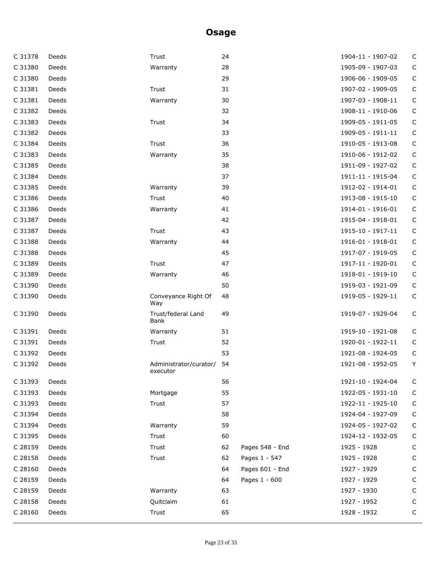| Deeds | Trust                              | 24 |                 | 1904-11 - 1907-02 | C           |
|-------|------------------------------------|----|-----------------|-------------------|-------------|
| Deeds | Warranty                           | 28 |                 | 1905-09 - 1907-03 | $\mathsf C$ |
| Deeds |                                    | 29 |                 | 1906-06 - 1909-05 | $\mathsf C$ |
| Deeds | Trust                              | 31 |                 | 1907-02 - 1909-05 | $\mathsf C$ |
| Deeds | Warranty                           | 30 |                 | 1907-03 - 1908-11 | $\mathsf C$ |
| Deeds |                                    | 32 |                 | 1908-11 - 1910-06 | $\mathsf C$ |
| Deeds | Trust                              | 34 |                 | 1909-05 - 1911-05 | $\mathsf C$ |
| Deeds |                                    | 33 |                 | 1909-05 - 1911-11 | $\mathsf C$ |
| Deeds | Trust                              | 36 |                 | 1910-05 - 1913-08 | $\mathsf C$ |
| Deeds | Warranty                           | 35 |                 | 1910-06 - 1912-02 | $\mathsf C$ |
| Deeds |                                    | 38 |                 | 1911-09 - 1927-02 | $\mathsf C$ |
| Deeds |                                    | 37 |                 | 1911-11 - 1915-04 | $\mathsf C$ |
| Deeds | Warranty                           | 39 |                 | 1912-02 - 1914-01 | $\mathsf C$ |
| Deeds | Trust                              | 40 |                 | 1913-08 - 1915-10 | $\mathsf C$ |
| Deeds | Warranty                           | 41 |                 | 1914-01 - 1916-01 | $\mathsf C$ |
| Deeds |                                    | 42 |                 | 1915-04 - 1918-01 | $\mathsf C$ |
| Deeds | Trust                              | 43 |                 | 1915-10 - 1917-11 | $\mathsf C$ |
| Deeds | Warranty                           | 44 |                 | 1916-01 - 1918-01 | $\mathsf C$ |
| Deeds |                                    | 45 |                 | 1917-07 - 1919-05 | $\mathsf C$ |
| Deeds | Trust                              | 47 |                 | 1917-11 - 1920-01 | $\mathsf C$ |
| Deeds | Warranty                           | 46 |                 | 1918-01 - 1919-10 | $\mathsf C$ |
| Deeds |                                    | 50 |                 | 1919-03 - 1921-09 | $\mathsf C$ |
| Deeds | Conveyance Right Of<br>Way         | 48 |                 | 1919-05 - 1929-11 | $\mathsf C$ |
| Deeds | Trust/federal Land<br>Bank         | 49 |                 | 1919-07 - 1929-04 | C           |
| Deeds | Warranty                           | 51 |                 | 1919-10 - 1921-08 | C           |
| Deeds | Trust                              | 52 |                 | 1920-01 - 1922-11 | $\mathsf C$ |
| Deeds |                                    | 53 |                 | 1921-08 - 1924-05 | $\mathsf C$ |
| Deeds | Administrator/curator/<br>executor | 54 |                 | 1921-08 - 1952-05 | Υ           |
| Deeds |                                    | 56 |                 | 1921-10 - 1924-04 | C           |
| Deeds | Mortgage                           | 55 |                 | 1922-05 - 1931-10 | C           |
| Deeds | Trust                              | 57 |                 | 1922-11 - 1925-10 | $\mathsf C$ |
| Deeds |                                    | 58 |                 | 1924-04 - 1927-09 | C           |
| Deeds | Warranty                           | 59 |                 | 1924-05 - 1927-02 | C           |
| Deeds | Trust                              | 60 |                 | 1924-12 - 1932-05 | $\mathsf C$ |
| Deeds | Trust                              | 62 | Pages 548 - End | 1925 - 1928       | C           |
| Deeds | Trust                              | 62 |                 | 1925 - 1928       | C           |
| Deeds |                                    | 64 | Pages 601 - End | 1927 - 1929       | C           |
| Deeds |                                    | 64 | Pages 1 - 600   | 1927 - 1929       | C           |
| Deeds | Warranty                           | 63 |                 | 1927 - 1930       | С           |
| Deeds | Quitclaim                          | 61 |                 |                   | C           |
| Deeds | Trust                              | 65 |                 | 1928 - 1932       | C           |
|       |                                    |    |                 | Pages 1 - 547     | 1927 - 1952 |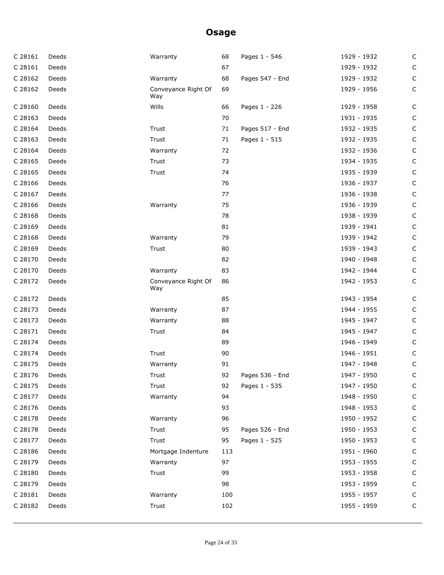| C 28161 | Deeds | Warranty                   | 68  | Pages 1 - 546   | 1929 - 1932 | $\mathsf C$  |
|---------|-------|----------------------------|-----|-----------------|-------------|--------------|
| C 28161 | Deeds |                            | 67  |                 | 1929 - 1932 | $\mathsf C$  |
| C 28162 | Deeds | Warranty                   | 68  | Pages 547 - End | 1929 - 1932 | $\mathsf C$  |
| C 28162 | Deeds | Conveyance Right Of<br>Way | 69  |                 | 1929 - 1956 | $\mathsf C$  |
| C 28160 | Deeds | Wills                      | 66  | Pages 1 - 226   | 1929 - 1958 | C            |
| C 28163 | Deeds |                            | 70  |                 | 1931 - 1935 | $\mathsf C$  |
| C 28164 | Deeds | Trust                      | 71  | Pages 517 - End | 1932 - 1935 | $\mathsf C$  |
| C 28163 | Deeds | Trust                      | 71  | Pages 1 - 515   | 1932 - 1935 | $\mathsf C$  |
| C 28164 | Deeds | Warranty                   | 72  |                 | 1932 - 1936 | $\mathsf C$  |
| C 28165 | Deeds | Trust                      | 73  |                 | 1934 - 1935 | $\mathsf C$  |
| C 28165 | Deeds | Trust                      | 74  |                 | 1935 - 1939 | $\mathsf C$  |
| C 28166 | Deeds |                            | 76  |                 | 1936 - 1937 | $\mathsf C$  |
| C 28167 | Deeds |                            | 77  |                 | 1936 - 1938 | $\mathsf C$  |
| C 28166 | Deeds | Warranty                   | 75  |                 | 1936 - 1939 | $\mathsf C$  |
| C 28168 | Deeds |                            | 78  |                 | 1938 - 1939 | $\mathsf C$  |
| C 28169 | Deeds |                            | 81  |                 | 1939 - 1941 | $\mathsf C$  |
| C 28168 | Deeds | Warranty                   | 79  |                 | 1939 - 1942 | $\mathsf C$  |
| C 28169 | Deeds | Trust                      | 80  |                 | 1939 - 1943 | $\mathsf C$  |
| C 28170 | Deeds |                            | 82  |                 | 1940 - 1948 | $\mathsf C$  |
| C 28170 | Deeds | Warranty                   | 83  |                 | 1942 - 1944 | $\mathsf C$  |
| C 28172 | Deeds | Conveyance Right Of<br>Way | 86  |                 | 1942 - 1953 | $\mathsf C$  |
| C 28172 | Deeds |                            | 85  |                 | 1943 - 1954 | $\mathsf C$  |
| C 28173 | Deeds | Warranty                   | 87  |                 | 1944 - 1955 | $\mathsf C$  |
| C 28173 | Deeds | Warranty                   | 88  |                 | 1945 - 1947 | $\mathsf C$  |
| C 28171 | Deeds | Trust                      | 84  |                 | 1945 - 1947 | $\mathsf C$  |
| C 28174 | Deeds |                            | 89  |                 | 1946 - 1949 | $\mathsf C$  |
| C 28174 | Deeds | Trust                      | 90  |                 | 1946 - 1951 | C            |
| C 28175 | Deeds | Warranty                   | 91  |                 | 1947 - 1948 | $\mathsf C$  |
| C 28176 | Deeds | Trust                      | 92  | Pages 536 - End | 1947 - 1950 | $\mathsf{C}$ |
| C 28175 | Deeds | Trust                      | 92  | Pages 1 - 535   | 1947 - 1950 | $\mathsf{C}$ |
| C 28177 | Deeds | Warranty                   | 94  |                 | 1948 - 1950 | C            |
| C 28176 | Deeds |                            | 93  |                 | 1948 - 1953 | C            |
| C 28178 | Deeds | Warranty                   | 96  |                 | 1950 - 1952 | C            |
| C 28178 | Deeds | Trust                      | 95  | Pages 526 - End | 1950 - 1953 | $\mathsf{C}$ |
| C 28177 | Deeds | Trust                      | 95  | Pages 1 - 525   | 1950 - 1953 | C            |
| C 28186 | Deeds | Mortgage Indenture         | 113 |                 | 1951 - 1960 | $\mathsf C$  |
| C 28179 | Deeds | Warranty                   | 97  |                 | 1953 - 1955 | $\mathsf C$  |
| C 28180 | Deeds | Trust                      | 99  |                 | 1953 - 1958 | $\mathsf{C}$ |
| C 28179 | Deeds |                            | 98  |                 | 1953 - 1959 | C            |
| C 28181 | Deeds | Warranty                   | 100 |                 | 1955 - 1957 | $\mathsf C$  |
| C 28182 | Deeds | Trust                      | 102 |                 | 1955 - 1959 | $\mathsf C$  |
|         |       |                            |     |                 |             |              |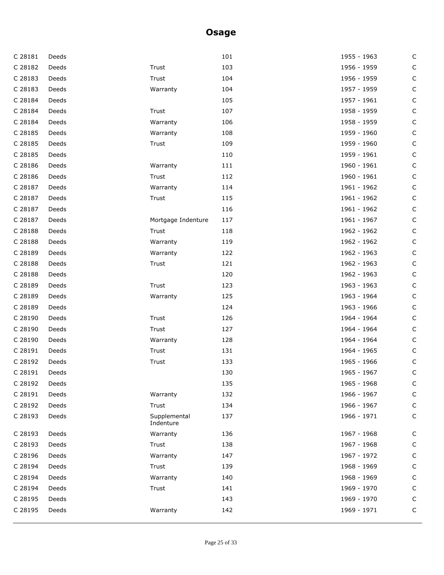| C 28181 | Deeds |                           | 101 | 1955 - 1963 | $\mathsf C$ |
|---------|-------|---------------------------|-----|-------------|-------------|
| C 28182 | Deeds | Trust                     | 103 | 1956 - 1959 | $\mathsf C$ |
| C 28183 | Deeds | Trust                     | 104 | 1956 - 1959 | $\mathsf C$ |
| C 28183 | Deeds | Warranty                  | 104 | 1957 - 1959 | C           |
| C 28184 | Deeds |                           | 105 | 1957 - 1961 | $\mathsf C$ |
| C 28184 | Deeds | Trust                     | 107 | 1958 - 1959 | $\mathsf C$ |
| C 28184 | Deeds | Warranty                  | 106 | 1958 - 1959 | $\mathsf C$ |
| C 28185 | Deeds | Warranty                  | 108 | 1959 - 1960 | C           |
| C 28185 | Deeds | Trust                     | 109 | 1959 - 1960 | $\mathsf C$ |
| C 28185 | Deeds |                           | 110 | 1959 - 1961 | $\mathsf C$ |
| C 28186 | Deeds | Warranty                  | 111 | 1960 - 1961 | $\mathsf C$ |
| C 28186 | Deeds | Trust                     | 112 | 1960 - 1961 | C           |
| C 28187 | Deeds | Warranty                  | 114 | 1961 - 1962 | $\mathsf C$ |
| C 28187 | Deeds | Trust                     | 115 | 1961 - 1962 | $\mathsf C$ |
| C 28187 | Deeds |                           | 116 | 1961 - 1962 | $\mathsf C$ |
| C 28187 | Deeds | Mortgage Indenture        | 117 | 1961 - 1967 | C           |
| C 28188 | Deeds | Trust                     | 118 | 1962 - 1962 | $\mathsf C$ |
| C 28188 | Deeds | Warranty                  | 119 | 1962 - 1962 | $\mathsf C$ |
| C 28189 | Deeds | Warranty                  | 122 | 1962 - 1963 | $\mathsf C$ |
| C 28188 | Deeds | Trust                     | 121 | 1962 - 1963 | $\mathsf C$ |
| C 28188 | Deeds |                           | 120 | 1962 - 1963 | $\mathsf C$ |
| C 28189 | Deeds | Trust                     | 123 | 1963 - 1963 | $\mathsf C$ |
| C 28189 | Deeds | Warranty                  | 125 | 1963 - 1964 | $\mathsf C$ |
| C 28189 | Deeds |                           | 124 | 1963 - 1966 | $\mathsf C$ |
| C 28190 | Deeds | Trust                     | 126 | 1964 - 1964 | $\mathsf C$ |
| C 28190 | Deeds | Trust                     | 127 | 1964 - 1964 | $\mathsf C$ |
| C 28190 | Deeds | Warranty                  | 128 | 1964 - 1964 | $\mathsf C$ |
| C 28191 | Deeds | Trust                     | 131 | 1964 - 1965 | $\mathsf C$ |
| C 28192 | Deeds | Trust                     | 133 | 1965 - 1966 | $\mathsf C$ |
| C 28191 | Deeds |                           | 130 | 1965 - 1967 | $\mathsf C$ |
| C 28192 | Deeds |                           | 135 | 1965 - 1968 | C           |
| C 28191 | Deeds | Warranty                  | 132 | 1966 - 1967 | $\mathsf C$ |
| C 28192 | Deeds | Trust                     | 134 | 1966 - 1967 | $\mathsf C$ |
| C 28193 | Deeds | Supplemental<br>Indenture | 137 | 1966 - 1971 | $\mathsf C$ |
| C 28193 | Deeds | Warranty                  | 136 | 1967 - 1968 | C           |
| C 28193 | Deeds | Trust                     | 138 | 1967 - 1968 | $\mathsf C$ |
| C 28196 | Deeds | Warranty                  | 147 | 1967 - 1972 | $\mathsf C$ |
| C 28194 | Deeds | Trust                     | 139 | 1968 - 1969 | $\mathsf C$ |
| C 28194 | Deeds | Warranty                  | 140 | 1968 - 1969 | C           |
| C 28194 | Deeds | Trust                     | 141 | 1969 - 1970 | $\mathsf C$ |
| C 28195 | Deeds |                           | 143 | 1969 - 1970 | $\mathsf C$ |
| C 28195 | Deeds | Warranty                  | 142 | 1969 - 1971 | С           |
|         |       |                           |     |             |             |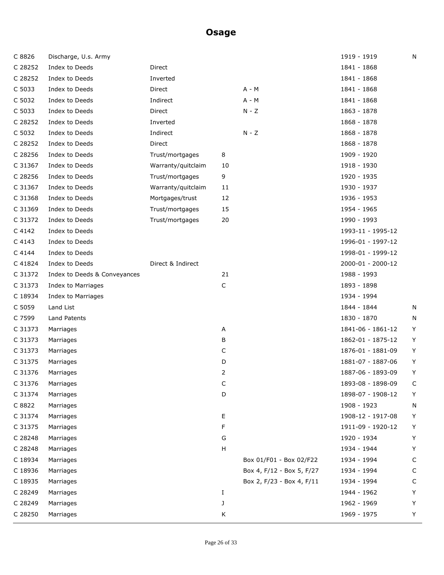| C 8826   | Discharge, U.s. Army         |                    |             |                           | 1919 - 1919       | N |
|----------|------------------------------|--------------------|-------------|---------------------------|-------------------|---|
| C 28252  | Index to Deeds               | Direct             |             |                           | 1841 - 1868       |   |
| C 28252  | Index to Deeds               | Inverted           |             |                           | 1841 - 1868       |   |
| C 5033   | Index to Deeds               | Direct             |             | $A - M$                   | 1841 - 1868       |   |
| C 5032   | Index to Deeds               | Indirect           |             | $A - M$                   | 1841 - 1868       |   |
| C 5033   | Index to Deeds               | Direct             |             | $N - Z$                   | 1863 - 1878       |   |
| C 28252  | Index to Deeds               | Inverted           |             |                           | 1868 - 1878       |   |
| C 5032   | Index to Deeds               | Indirect           |             | $N - Z$                   | 1868 - 1878       |   |
| C 28252  | Index to Deeds               | Direct             |             |                           | 1868 - 1878       |   |
| C 28256  | Index to Deeds               | Trust/mortgages    | 8           |                           | 1909 - 1920       |   |
| C 31367  | Index to Deeds               | Warranty/quitclaim | 10          |                           | 1918 - 1930       |   |
| C 28256  | Index to Deeds               | Trust/mortgages    | 9           |                           | 1920 - 1935       |   |
| C 31367  | Index to Deeds               | Warranty/quitclaim | 11          |                           | 1930 - 1937       |   |
| C 31368  | Index to Deeds               | Mortgages/trust    | 12          |                           | 1936 - 1953       |   |
| C 31369  | Index to Deeds               | Trust/mortgages    | 15          |                           | 1954 - 1965       |   |
| C 31372  | Index to Deeds               | Trust/mortgages    | 20          |                           | 1990 - 1993       |   |
| C 4142   | Index to Deeds               |                    |             |                           | 1993-11 - 1995-12 |   |
| C 4143   | Index to Deeds               |                    |             |                           | 1996-01 - 1997-12 |   |
| $C$ 4144 | Index to Deeds               |                    |             |                           | 1998-01 - 1999-12 |   |
| C 41824  | Index to Deeds               | Direct & Indirect  |             |                           | 2000-01 - 2000-12 |   |
| C 31372  | Index to Deeds & Conveyances |                    | 21          |                           | 1988 - 1993       |   |
| C 31373  | Index to Marriages           |                    | $\mathsf C$ |                           | 1893 - 1898       |   |
| C 18934  | Index to Marriages           |                    |             |                           | 1934 - 1994       |   |
| C 5059   | Land List                    |                    |             |                           | 1844 - 1844       | N |
| C 7599   | Land Patents                 |                    |             |                           | 1830 - 1870       | N |
| C 31373  | Marriages                    |                    | Α           |                           | 1841-06 - 1861-12 | Υ |
| C 31373  | Marriages                    |                    | В           |                           | 1862-01 - 1875-12 | Υ |
| C 31373  | Marriages                    |                    | С           |                           | 1876-01 - 1881-09 | Υ |
| C 31375  | Marriages                    |                    | D           |                           | 1881-07 - 1887-06 | Υ |
| C 31376  | Marriages                    |                    | 2           |                           | 1887-06 - 1893-09 | Υ |
| C 31376  | Marriages                    |                    | С           |                           | 1893-08 - 1898-09 | C |
| C 31374  | Marriages                    |                    | D           |                           | 1898-07 - 1908-12 | Y |
| C 8822   | Marriages                    |                    |             |                           | 1908 - 1923       | N |
| C 31374  | Marriages                    |                    | Е           |                           | 1908-12 - 1917-08 | Υ |
| C 31375  | Marriages                    |                    | F           |                           | 1911-09 - 1920-12 | Υ |
| C 28248  | Marriages                    |                    | G           |                           | 1920 - 1934       | Υ |
| C 28248  | Marriages                    |                    | н           |                           | 1934 - 1944       | Υ |
| C 18934  | Marriages                    |                    |             | Box 01/F01 - Box 02/F22   | 1934 - 1994       | C |
| C 18936  | Marriages                    |                    |             | Box 4, F/12 - Box 5, F/27 | 1934 - 1994       | C |
| C 18935  | Marriages                    |                    |             | Box 2, F/23 - Box 4, F/11 | 1934 - 1994       | C |
| C 28249  | Marriages                    |                    | Ι.          |                           | 1944 - 1962       | Υ |
| C 28249  | Marriages                    |                    | J           |                           | 1962 - 1969       | Υ |
| C 28250  | Marriages                    |                    | Κ           |                           | 1969 - 1975       | Υ |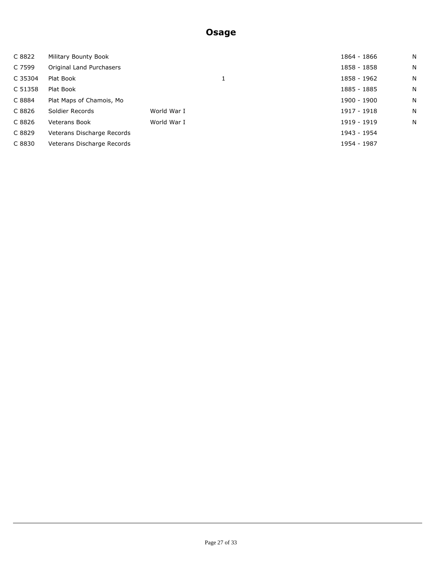| C 8822  | Military Bounty Book       |             | 1864 - 1866 | N |
|---------|----------------------------|-------------|-------------|---|
| C 7599  | Original Land Purchasers   |             | 1858 - 1858 | N |
| C 35304 | Plat Book                  |             | 1858 - 1962 | N |
| C 51358 | Plat Book                  |             | 1885 - 1885 | N |
| C 8884  | Plat Maps of Chamois, Mo   |             | 1900 - 1900 | N |
| C 8826  | Soldier Records            | World War I | 1917 - 1918 | N |
| C 8826  | <b>Veterans Book</b>       | World War I | 1919 - 1919 | N |
| C 8829  | Veterans Discharge Records |             | 1943 - 1954 |   |
| C 8830  | Veterans Discharge Records |             | 1954 - 1987 |   |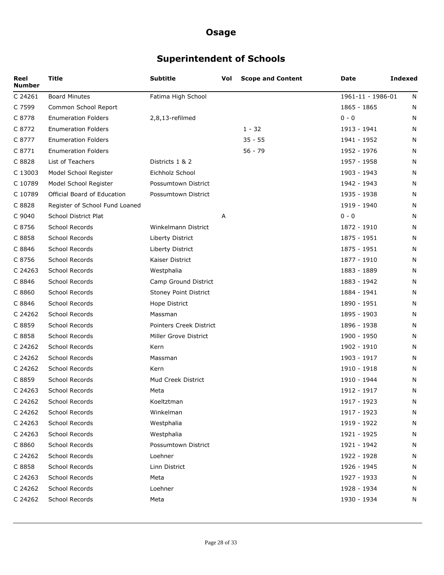# **Superintendent of Schools**

| Reel<br><b>Number</b> | <b>Title</b>                   | <b>Subtitle</b>         | Vol | <b>Scope and Content</b> | Date              | <b>Indexed</b> |
|-----------------------|--------------------------------|-------------------------|-----|--------------------------|-------------------|----------------|
| C 24261               | <b>Board Minutes</b>           | Fatima High School      |     |                          | 1961-11 - 1986-01 | N              |
| C 7599                | Common School Report           |                         |     |                          | 1865 - 1865       | N              |
| C 8778                | <b>Enumeration Folders</b>     | 2,8,13-refilmed         |     |                          | $0 - 0$           | N              |
| C 8772                | <b>Enumeration Folders</b>     |                         |     | $1 - 32$                 | 1913 - 1941       | N              |
| C 8777                | <b>Enumeration Folders</b>     |                         |     | $35 - 55$                | 1941 - 1952       | N              |
| C 8771                | <b>Enumeration Folders</b>     |                         |     | 56 - 79                  | 1952 - 1976       | N              |
| C 8828                | List of Teachers               | Districts 1 & 2         |     |                          | 1957 - 1958       | N              |
| C 13003               | Model School Register          | Eichholz School         |     |                          | 1903 - 1943       | N              |
| C 10789               | Model School Register          | Possumtown District     |     |                          | 1942 - 1943       | N              |
| C 10789               | Official Board of Education    | Possumtown District     |     |                          | 1935 - 1938       | N              |
| C 8828                | Register of School Fund Loaned |                         |     |                          | 1919 - 1940       | N              |
| C 9040                | School District Plat           |                         | Α   |                          | $0 - 0$           | N              |
| C 8756                | School Records                 | Winkelmann District     |     |                          | 1872 - 1910       | N              |
| C 8858                | School Records                 | Liberty District        |     |                          | 1875 - 1951       | N              |
| C 8846                | School Records                 | Liberty District        |     |                          | 1875 - 1951       | N              |
| C 8756                | School Records                 | Kaiser District         |     |                          | 1877 - 1910       | N              |
| C 24263               | School Records                 | Westphalia              |     |                          | 1883 - 1889       | N              |
| C 8846                | School Records                 | Camp Ground District    |     |                          | 1883 - 1942       | N              |
| C 8860                | School Records                 | Stoney Point District   |     |                          | 1884 - 1941       | N              |
| C 8846                | School Records                 | Hope District           |     |                          | 1890 - 1951       | N              |
| C 24262               | School Records                 | Massman                 |     |                          | 1895 - 1903       | N              |
| C 8859                | School Records                 | Pointers Creek District |     |                          | 1896 - 1938       | N              |
| C 8858                | School Records                 | Miller Grove District   |     |                          | 1900 - 1950       | N              |
| C 24262               | School Records                 | Kern                    |     |                          | 1902 - 1910       | N              |
| C 24262               | School Records                 | Massman                 |     |                          | 1903 - 1917       | N              |
| C 24262               | School Records                 | Kern                    |     |                          | 1910 - 1918       | N              |
| C 8859                | School Records                 | Mud Creek District      |     |                          | 1910 - 1944       | N              |
| C 24263               | School Records                 | Meta                    |     |                          | 1912 - 1917       | N              |
| C 24262               | School Records                 | Koeltztman              |     |                          | 1917 - 1923       | N              |
| C 24262               | School Records                 | Winkelman               |     |                          | 1917 - 1923       | N              |
| C 24263               | School Records                 | Westphalia              |     |                          | 1919 - 1922       | N              |
| C 24263               | School Records                 | Westphalia              |     |                          | 1921 - 1925       | N              |
| C 8860                | School Records                 | Possumtown District     |     |                          | 1921 - 1942       | N              |
| C 24262               | School Records                 | Loehner                 |     |                          | 1922 - 1928       | N              |
| C 8858                | School Records                 | Linn District           |     |                          | 1926 - 1945       | N              |
| C 24263               | School Records                 | Meta                    |     |                          | 1927 - 1933       | N              |
| C 24262               | School Records                 | Loehner                 |     |                          | 1928 - 1934       | N              |
| C 24262               | School Records                 | Meta                    |     |                          | 1930 - 1934       | N              |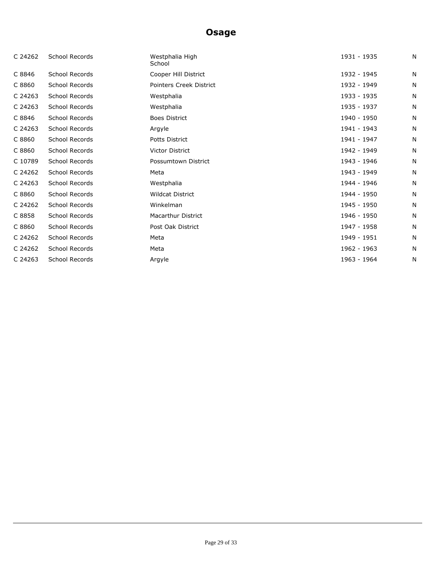| C 24262 | School Records | Westphalia High<br>School | 1931 - 1935 | N |
|---------|----------------|---------------------------|-------------|---|
| C 8846  | School Records | Cooper Hill District      | 1932 - 1945 | N |
| C 8860  | School Records | Pointers Creek District   | 1932 - 1949 | N |
| C 24263 | School Records | Westphalia                | 1933 - 1935 | N |
| C 24263 | School Records | Westphalia                | 1935 - 1937 | N |
| C 8846  | School Records | <b>Boes District</b>      | 1940 - 1950 | N |
| C 24263 | School Records | Argyle                    | 1941 - 1943 | N |
| C 8860  | School Records | Potts District            | 1941 - 1947 | N |
| C 8860  | School Records | <b>Victor District</b>    | 1942 - 1949 | N |
| C 10789 | School Records | Possumtown District       | 1943 - 1946 | N |
| C 24262 | School Records | Meta                      | 1943 - 1949 | N |
| C 24263 | School Records | Westphalia                | 1944 - 1946 | N |
| C 8860  | School Records | <b>Wildcat District</b>   | 1944 - 1950 | N |
| C 24262 | School Records | Winkelman                 | 1945 - 1950 | N |
| C 8858  | School Records | <b>Macarthur District</b> | 1946 - 1950 | N |
| C 8860  | School Records | Post Oak District         | 1947 - 1958 | N |
| C 24262 | School Records | Meta                      | 1949 - 1951 | N |
| C 24262 | School Records | Meta                      | 1962 - 1963 | N |
| C 24263 | School Records | Argyle                    | 1963 - 1964 | N |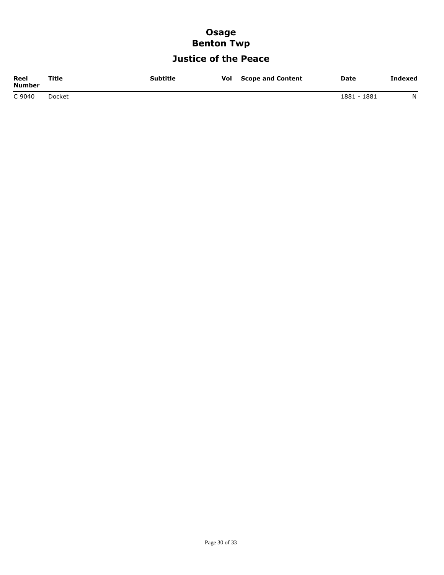### **Osage Benton Twp**

## **Justice of the Peace**

| Reel<br>Number | Title  | Subtitle | Vol | <b>Scope and Content</b> | <b>Date</b> | Indexed |
|----------------|--------|----------|-----|--------------------------|-------------|---------|
| C 9040         | Docket |          |     |                          | 1881 - 1881 | N       |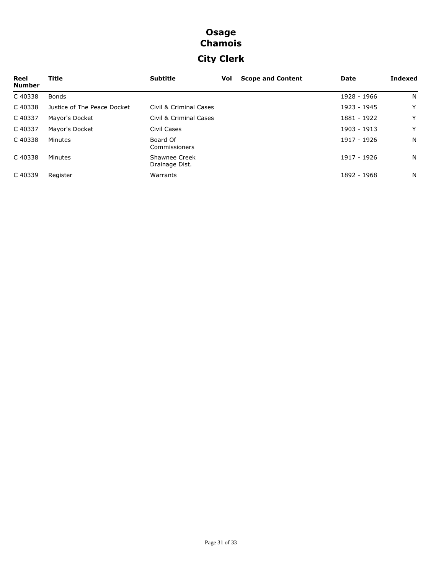## **Osage Chamois City Clerk**

| Reel<br><b>Number</b> | Title                       | <b>Subtitle</b>                 | Vol | <b>Scope and Content</b> | Date        | <b>Indexed</b> |
|-----------------------|-----------------------------|---------------------------------|-----|--------------------------|-------------|----------------|
| C40338                | <b>Bonds</b>                |                                 |     |                          | 1928 - 1966 | N.             |
| C40338                | Justice of The Peace Docket | Civil & Criminal Cases          |     |                          | 1923 - 1945 | Y              |
| C 40337               | Mayor's Docket              | Civil & Criminal Cases          |     |                          | 1881 - 1922 | Y              |
| C 40337               | Mayor's Docket              | Civil Cases                     |     |                          | 1903 - 1913 | Y              |
| C40338                | Minutes                     | Board Of<br>Commissioners       |     |                          | 1917 - 1926 | N.             |
| C40338                | Minutes                     | Shawnee Creek<br>Drainage Dist. |     |                          | 1917 - 1926 | N.             |
| C40339                | Register                    | Warrants                        |     |                          | 1892 - 1968 | N.             |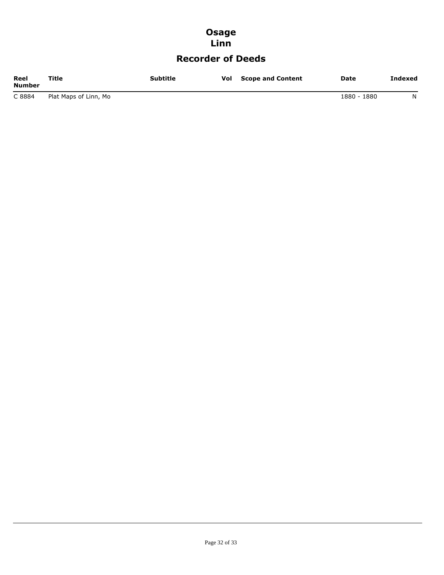### **Osage Linn**

### **Recorder of Deeds**

| Reel<br><b>Number</b> | Title                 | <b>Subtitle</b> | Vol | <b>Scope and Content</b> | Date        | Indexed |
|-----------------------|-----------------------|-----------------|-----|--------------------------|-------------|---------|
| C 8884                | Plat Maps of Linn, Mo |                 |     |                          | 1880 - 1880 | N       |